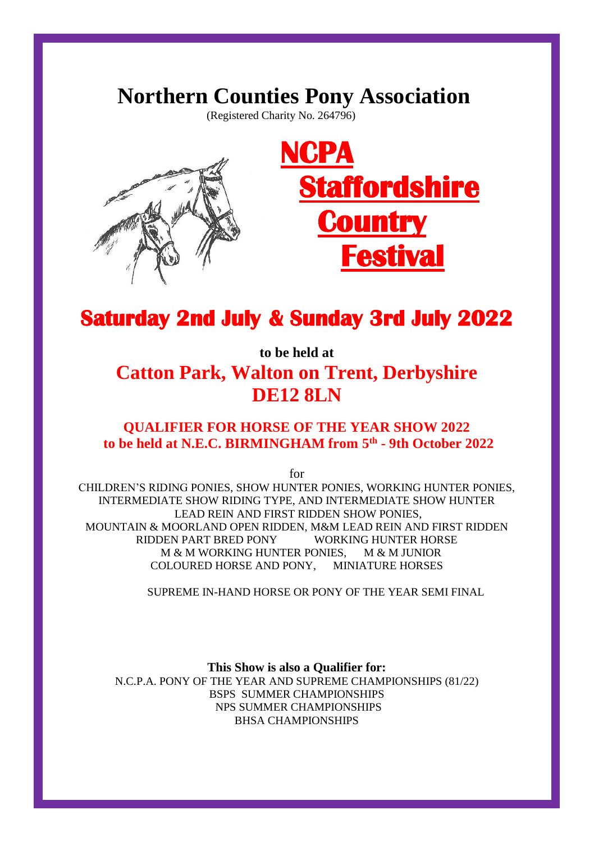# **Northern Counties Pony Association**

(Registered Charity No. 264796)



# **Saturday 2nd July & Sunday 3rd July 2022**

**to be held at Catton Park, Walton on Trent, Derbyshire DE12 8LN**

# **QUALIFIER FOR HORSE OF THE YEAR SHOW 2022 to be held at N.E.C. BIRMINGHAM from 5 th - 9th October 2022**

for

CHILDREN'S RIDING PONIES, SHOW HUNTER PONIES, WORKING HUNTER PONIES, INTERMEDIATE SHOW RIDING TYPE, AND INTERMEDIATE SHOW HUNTER LEAD REIN AND FIRST RIDDEN SHOW PONIES, MOUNTAIN & MOORLAND OPEN RIDDEN, M&M LEAD REIN AND FIRST RIDDEN RIDDEN PART BRED PONY WORKING HUNTER HORSE M & M WORKING HUNTER PONIES, M & M JUNIOR COLOURED HORSE AND PONY, MINIATURE HORSES

SUPREME IN-HAND HORSE OR PONY OF THE YEAR SEMI FINAL

**This Show is also a Qualifier for:** N.C.P.A. PONY OF THE YEAR AND SUPREME CHAMPIONSHIPS (81/22) BSPS SUMMER CHAMPIONSHIPS NPS SUMMER CHAMPIONSHIPS BHSA CHAMPIONSHIPS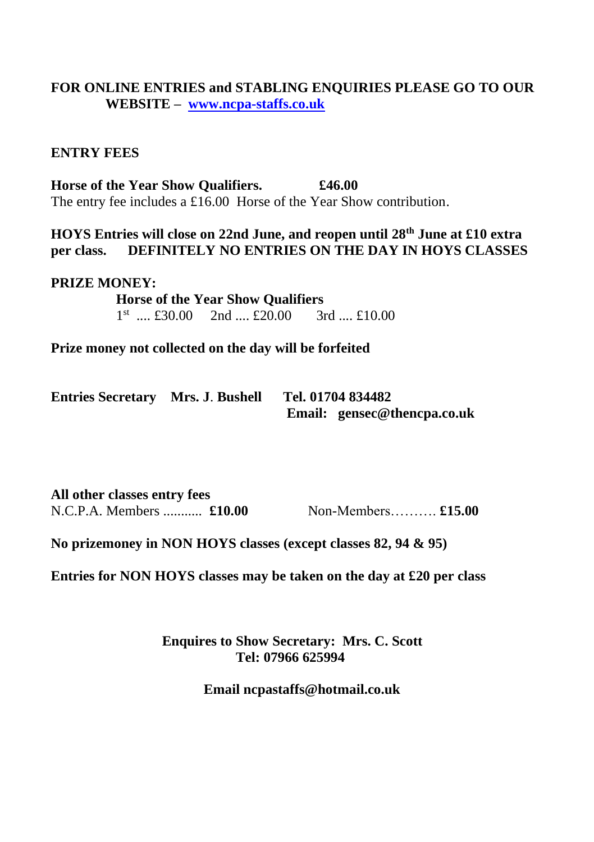# **FOR ONLINE ENTRIES and STABLING ENQUIRIES PLEASE GO TO OUR WEBSITE – [www.ncpa-staffs.co.uk](http://www.ncpa-staffs.co.uk/)**

# **ENTRY FEES**

**Horse of the Year Show Qualifiers. £46.00** The entry fee includes a £16.00 Horse of the Year Show contribution.

**HOYS Entries will close on 22nd June, and reopen until 28th June at £10 extra per class. DEFINITELY NO ENTRIES ON THE DAY IN HOYS CLASSES** 

#### **PRIZE MONEY:**

 **Horse of the Year Show Qualifiers** 1<sup>st</sup> .... £30.00 2nd .... £20.00 3rd .... £10.00

**Prize money not collected on the day will be forfeited**

| <b>Entries Secretary Mrs. J. Bushell</b> | Tel. 01704 834482           |
|------------------------------------------|-----------------------------|
|                                          | Email: gensec@thencpa.co.uk |

**All other classes entry fees** N.C.P.A. Members ........... **£10.00** Non-Members………. **£15.00**

**No prizemoney in NON HOYS classes (except classes 82, 94 & 95)**

**Entries for NON HOYS classes may be taken on the day at £20 per class**

 **Enquires to Show Secretary: Mrs. C. Scott Tel: 07966 625994**

**Email ncpastaffs@hotmail.co.uk**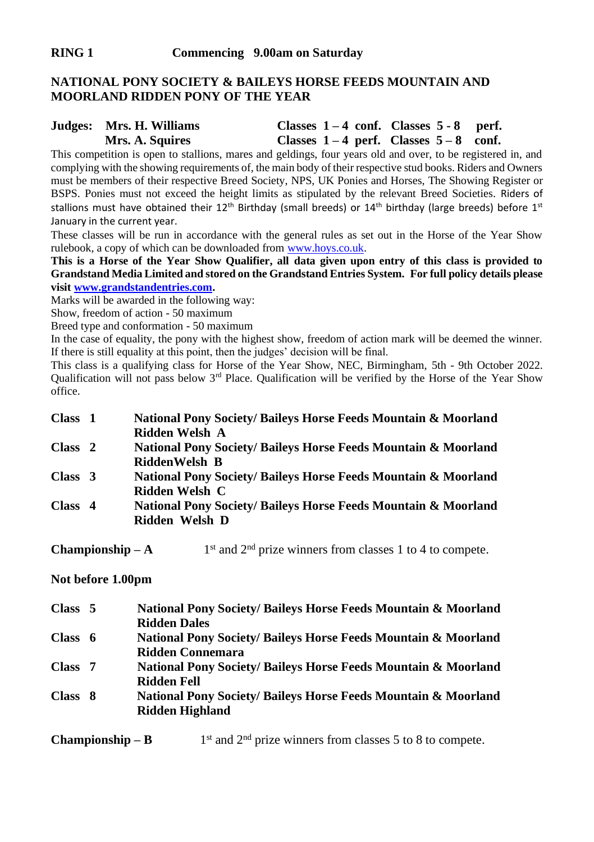### **NATIONAL PONY SOCIETY & BAILEYS HORSE FEEDS MOUNTAIN AND MOORLAND RIDDEN PONY OF THE YEAR**

# **Judges: Mrs. H. Williams Classes 1 – 4 conf. Classes 5 - 8 perf. Mrs. A. Squires Classes 1 – 4 perf. Classes 5 – 8 conf.**

This competition is open to stallions, mares and geldings, four years old and over, to be registered in, and complying with the showing requirements of, the main body of their respective stud books. Riders and Owners must be members of their respective Breed Society, NPS, UK Ponies and Horses, The Showing Register or BSPS. Ponies must not exceed the height limits as stipulated by the relevant Breed Societies. Riders of stallions must have obtained their 12<sup>th</sup> Birthday (small breeds) or 14<sup>th</sup> birthday (large breeds) before 1st January in the current year.

These classes will be run in accordance with the general rules as set out in the Horse of the Year Show rulebook, a copy of which can be downloaded from [www.hoys.co.uk.](http://www.hoys.co.uk/)

**This is a Horse of the Year Show Qualifier, all data given upon entry of this class is provided to Grandstand Media Limited and stored on the Grandstand Entries System. For full policy details please visi[t www.grandstandentries.com.](http://www.grandstandentries.com/)**

Marks will be awarded in the following way:

Show, freedom of action - 50 maximum

Breed type and conformation - 50 maximum

In the case of equality, the pony with the highest show, freedom of action mark will be deemed the winner. If there is still equality at this point, then the judges' decision will be final.

This class is a qualifying class for Horse of the Year Show, NEC, Birmingham, 5th - 9th October 2022. Qualification will not pass below 3rd Place. Qualification will be verified by the Horse of the Year Show office.

| Class 1   | National Pony Society/ Baileys Horse Feeds Mountain & Moorland<br>Ridden Welsh A |
|-----------|----------------------------------------------------------------------------------|
| Class 2   | National Pony Society/ Baileys Horse Feeds Mountain & Moorland                   |
|           | RiddenWelsh B                                                                    |
| Class $3$ | National Pony Society/ Baileys Horse Feeds Mountain & Moorland                   |
|           | Ridden Welsh C                                                                   |
| Class 4   | National Pony Society/ Baileys Horse Feeds Mountain & Moorland                   |
|           | Ridden Welsh D                                                                   |

**Championship – A** 1  $1<sup>st</sup>$  and  $2<sup>nd</sup>$  prize winners from classes 1 to 4 to compete.

#### **Not before 1.00pm**

| Class 5 | National Pony Society/ Baileys Horse Feeds Mountain & Moorland |
|---------|----------------------------------------------------------------|
|         | <b>Ridden Dales</b>                                            |
| Class 6 | National Pony Society/ Baileys Horse Feeds Mountain & Moorland |
|         | <b>Ridden Connemara</b>                                        |
| Class 7 | National Pony Society/ Baileys Horse Feeds Mountain & Moorland |
|         | Ridden Fell                                                    |
| Class 8 | National Pony Society/ Baileys Horse Feeds Mountain & Moorland |
|         | <b>Ridden Highland</b>                                         |
|         |                                                                |

**Championship – B** 1  $1<sup>st</sup>$  and  $2<sup>nd</sup>$  prize winners from classes 5 to 8 to compete.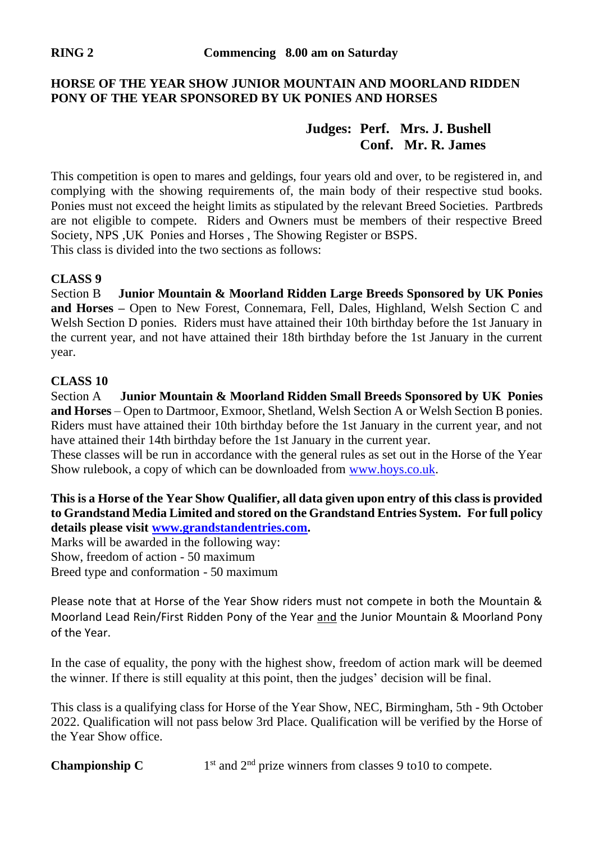# **HORSE OF THE YEAR SHOW JUNIOR MOUNTAIN AND MOORLAND RIDDEN PONY OF THE YEAR SPONSORED BY UK PONIES AND HORSES**

# **Judges: Perf. Mrs. J. Bushell Conf. Mr. R. James**

This competition is open to mares and geldings, four years old and over, to be registered in, and complying with the showing requirements of, the main body of their respective stud books. Ponies must not exceed the height limits as stipulated by the relevant Breed Societies. Partbreds are not eligible to compete. Riders and Owners must be members of their respective Breed Society, NPS ,UK Ponies and Horses , The Showing Register or BSPS. This class is divided into the two sections as follows:

# **CLASS 9**

Section B **Junior Mountain & Moorland Ridden Large Breeds Sponsored by UK Ponies and Horses –** Open to New Forest, Connemara, Fell, Dales, Highland, Welsh Section C and Welsh Section D ponies. Riders must have attained their 10th birthday before the 1st January in the current year, and not have attained their 18th birthday before the 1st January in the current year.

# **CLASS 10**

Section A **Junior Mountain & Moorland Ridden Small Breeds Sponsored by UK Ponies and Horses** – Open to Dartmoor, Exmoor, Shetland, Welsh Section A or Welsh Section B ponies. Riders must have attained their 10th birthday before the 1st January in the current year, and not have attained their 14th birthday before the 1st January in the current year.

These classes will be run in accordance with the general rules as set out in the Horse of the Year Show rulebook, a copy of which can be downloaded fro[m www.hoys.co.uk.](http://www.hoys.co.uk/) 

**This is a Horse of the Year Show Qualifier, all data given upon entry of this class is provided to Grandstand Media Limited and stored on the Grandstand Entries System. For full policy details please visi[t www.grandstandentries.com.](http://www.grandstandentries.com/)**

Marks will be awarded in the following way: Show, freedom of action - 50 maximum Breed type and conformation - 50 maximum

Please note that at Horse of the Year Show riders must not compete in both the Mountain & Moorland Lead Rein/First Ridden Pony of the Year and the Junior Mountain & Moorland Pony of the Year.

In the case of equality, the pony with the highest show, freedom of action mark will be deemed the winner. If there is still equality at this point, then the judges' decision will be final.

This class is a qualifying class for Horse of the Year Show, NEC, Birmingham, 5th - 9th October 2022. Qualification will not pass below 3rd Place. Qualification will be verified by the Horse of the Year Show office.

**Championship C**  $1<sup>st</sup>$  and  $2<sup>nd</sup>$  prize winners from classes 9 to 10 to compete.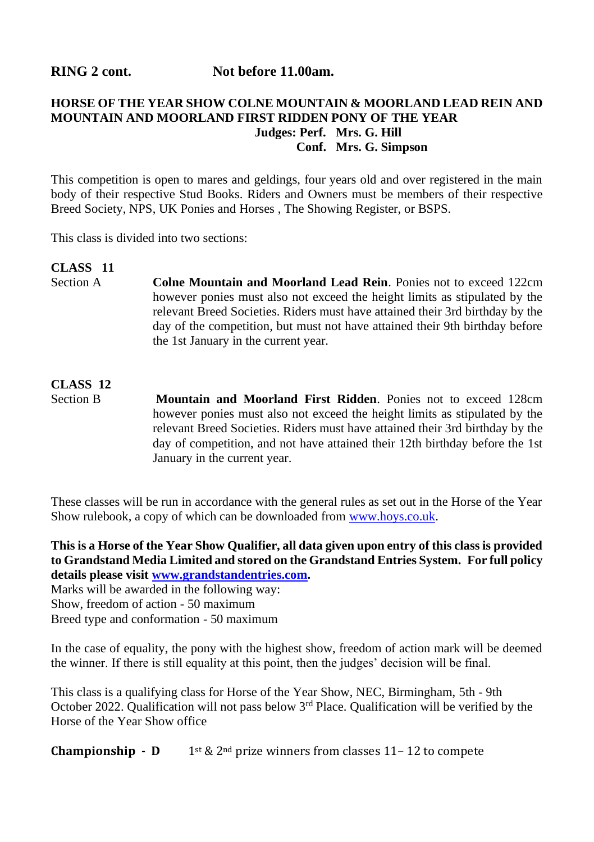**RING 2 cont.** Not before 11.00am.

# **HORSE OF THE YEAR SHOW COLNE MOUNTAIN & MOORLAND LEAD REIN AND MOUNTAIN AND MOORLAND FIRST RIDDEN PONY OF THE YEAR Judges: Perf. Mrs. G. Hill Conf. Mrs. G. Simpson**

This competition is open to mares and geldings, four years old and over registered in the main body of their respective Stud Books. Riders and Owners must be members of their respective Breed Society, NPS, UK Ponies and Horses , The Showing Register, or BSPS.

This class is divided into two sections:

### **CLASS** 11<br>Section A **Colne Mountain and Moorland Lead Rein.** Ponies not to exceed 122cm however ponies must also not exceed the height limits as stipulated by the relevant Breed Societies. Riders must have attained their 3rd birthday by the day of the competition, but must not have attained their 9th birthday before

the 1st January in the current year.

# **CLASS 12** Section B **Mountain and Moorland First Ridden**. Ponies not to exceed 128cm however ponies must also not exceed the height limits as stipulated by the relevant Breed Societies. Riders must have attained their 3rd birthday by the day of competition, and not have attained their 12th birthday before the 1st January in the current year.

These classes will be run in accordance with the general rules as set out in the Horse of the Year Show rulebook, a copy of which can be downloaded fro[m www.hoys.co.uk.](http://www.hoys.co.uk/) 

**This is a Horse of the Year Show Qualifier, all data given upon entry of this class is provided to Grandstand Media Limited and stored on the Grandstand Entries System. For full policy details please visi[t www.grandstandentries.com.](http://www.grandstandentries.com/)**

Marks will be awarded in the following way: Show, freedom of action - 50 maximum Breed type and conformation - 50 maximum

In the case of equality, the pony with the highest show, freedom of action mark will be deemed the winner. If there is still equality at this point, then the judges' decision will be final.

This class is a qualifying class for Horse of the Year Show, NEC, Birmingham, 5th - 9th October 2022. Qualification will not pass below 3rd Place. Qualification will be verified by the Horse of the Year Show office

**Championship - D** 1st &  $2^{nd}$  prize winners from classes 11-12 to compete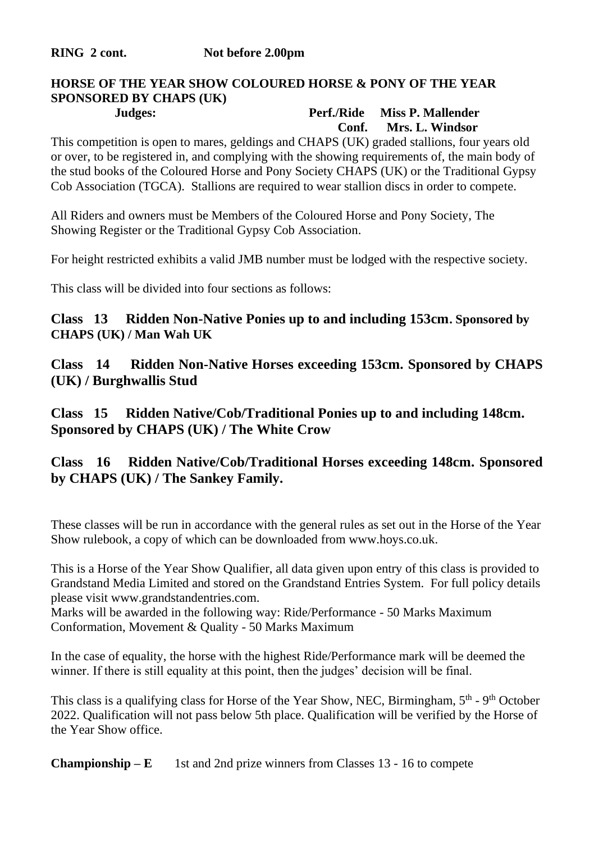### **HORSE OF THE YEAR SHOW COLOURED HORSE & PONY OF THE YEAR SPONSORED BY CHAPS (UK) Judges: Perf./Ride Miss P. Mallender**

# **Conf. Mrs. L. Windsor**

This competition is open to mares, geldings and CHAPS (UK) graded stallions, four years old or over, to be registered in, and complying with the showing requirements of, the main body of the stud books of the Coloured Horse and Pony Society CHAPS (UK) or the Traditional Gypsy Cob Association (TGCA). Stallions are required to wear stallion discs in order to compete.

All Riders and owners must be Members of the Coloured Horse and Pony Society, The Showing Register or the Traditional Gypsy Cob Association.

For height restricted exhibits a valid JMB number must be lodged with the respective society.

This class will be divided into four sections as follows:

# **Class 13 Ridden Non-Native Ponies up to and including 153cm. Sponsored by CHAPS (UK) / Man Wah UK**

**Class 14 Ridden Non-Native Horses exceeding 153cm. Sponsored by CHAPS (UK) / Burghwallis Stud**

**Class 15 Ridden Native/Cob/Traditional Ponies up to and including 148cm. Sponsored by CHAPS (UK) / The White Crow**

# **Class 16 Ridden Native/Cob/Traditional Horses exceeding 148cm. Sponsored by CHAPS (UK) / The Sankey Family.**

These classes will be run in accordance with the general rules as set out in the Horse of the Year Show rulebook, a copy of which can be downloaded from www.hoys.co.uk.

This is a Horse of the Year Show Qualifier, all data given upon entry of this class is provided to Grandstand Media Limited and stored on the Grandstand Entries System. For full policy details please visit www.grandstandentries.com.

Marks will be awarded in the following way: Ride/Performance - 50 Marks Maximum Conformation, Movement & Quality - 50 Marks Maximum

In the case of equality, the horse with the highest Ride/Performance mark will be deemed the winner. If there is still equality at this point, then the judges' decision will be final.

This class is a qualifying class for Horse of the Year Show, NEC, Birmingham, 5<sup>th</sup> - 9<sup>th</sup> October 2022. Qualification will not pass below 5th place. Qualification will be verified by the Horse of the Year Show office.

**Championship –**  $\bf{E}$  1st and 2nd prize winners from Classes 13 - 16 to compete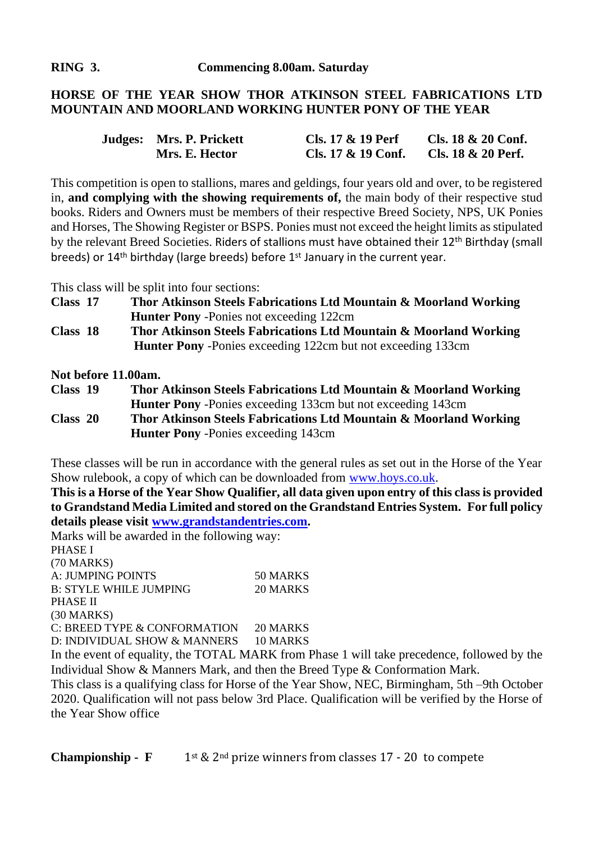# **HORSE OF THE YEAR SHOW THOR ATKINSON STEEL FABRICATIONS LTD MOUNTAIN AND MOORLAND WORKING HUNTER PONY OF THE YEAR**

| Judges: Mrs. P. Prickett | Cls. 17 & 19 Perf  | Cls. $18 \& 20$ Conf. |
|--------------------------|--------------------|-----------------------|
| Mrs. E. Hector           | Cls. 17 & 19 Conf. | Cls. 18 & 20 Perf.    |

This competition is open to stallions, mares and geldings, four years old and over, to be registered in, **and complying with the showing requirements of,** the main body of their respective stud books. Riders and Owners must be members of their respective Breed Society, NPS, UK Ponies and Horses, The Showing Register or BSPS. Ponies must not exceed the height limits as stipulated by the relevant Breed Societies. Riders of stallions must have obtained their 12<sup>th</sup> Birthday (small breeds) or 14th birthday (large breeds) before 1st January in the current year.

This class will be split into four sections:

| Class 17 | Thor Atkinson Steels Fabrications Ltd Mountain & Moorland Working |
|----------|-------------------------------------------------------------------|
|          | <b>Hunter Pony</b> - Ponies not exceeding 122cm                   |
| Class 18 | Thor Atkinson Steels Fabrications Ltd Mountain & Moorland Working |

 **Hunter Pony** -Ponies exceeding 122cm but not exceeding 133cm

**Not before 11.00am.**

**Class 19 Thor Atkinson Steels Fabrications Ltd Mountain & Moorland Working Hunter Pony** -Ponies exceeding 133cm but not exceeding 143cm **Class 20 Thor Atkinson Steels Fabrications Ltd Mountain & Moorland Working Hunter Pony** -Ponies exceeding 143cm

These classes will be run in accordance with the general rules as set out in the Horse of the Year Show rulebook, a copy of which can be downloaded fro[m www.hoys.co.uk.](http://www.hoys.co.uk/) 

**This is a Horse of the Year Show Qualifier, all data given upon entry of this class is provided to Grandstand Media Limited and stored on the Grandstand Entries System. For full policy details please visi[t www.grandstandentries.com.](http://www.grandstandentries.com/)**

Marks will be awarded in the following way: PHASE I (70 MARKS) A: JUMPING POINTS 50 MARKS B: STYLE WHILE JUMPING 20 MARKS PHASE II (30 MARKS) C: BREED TYPE & CONFORMATION 20 MARKS D: INDIVIDUAL SHOW & MANNERS 10 MARKS

In the event of equality, the TOTAL MARK from Phase 1 will take precedence, followed by the Individual Show & Manners Mark, and then the Breed Type & Conformation Mark.

This class is a qualifying class for Horse of the Year Show, NEC, Birmingham, 5th –9th October 2020. Qualification will not pass below 3rd Place. Qualification will be verified by the Horse of the Year Show office

**Championship - F** 1st & 2<sup>nd</sup> prize winners from classes 17 - 20 to compete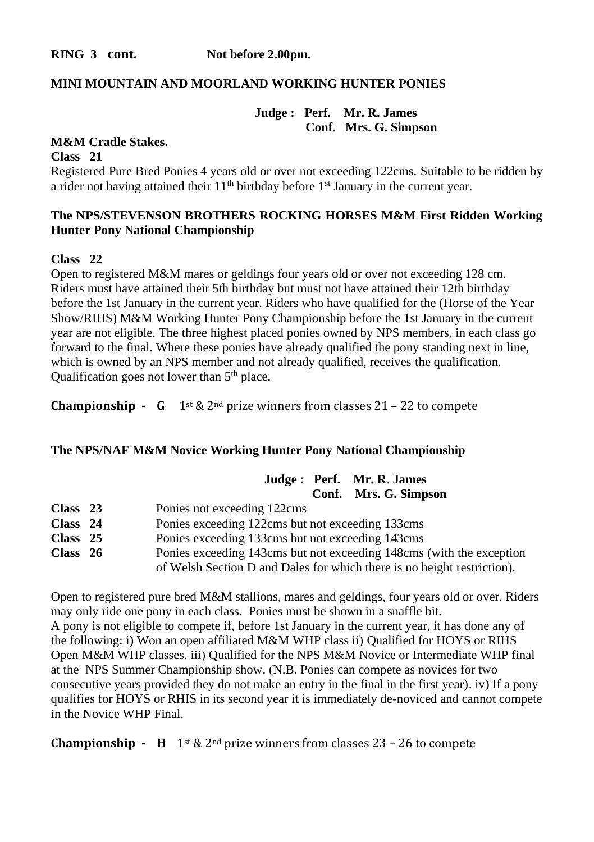**RING 3** cont. Not before 2.00pm.

#### **MINI MOUNTAIN AND MOORLAND WORKING HUNTER PONIES**

**Judge : Perf. Mr. R. James Conf. Mrs. G. Simpson**

#### **M&M Cradle Stakes.**

**Class 21**

Registered Pure Bred Ponies 4 years old or over not exceeding 122cms. Suitable to be ridden by a rider not having attained their  $11<sup>th</sup>$  birthday before  $1<sup>st</sup>$  January in the current year.

# **The NPS/STEVENSON BROTHERS ROCKING HORSES M&M First Ridden Working Hunter Pony National Championship**

#### **Class 22**

Open to registered M&M mares or geldings four years old or over not exceeding 128 cm. Riders must have attained their 5th birthday but must not have attained their 12th birthday before the 1st January in the current year. Riders who have qualified for the (Horse of the Year Show/RIHS) M&M Working Hunter Pony Championship before the 1st January in the current year are not eligible. The three highest placed ponies owned by NPS members, in each class go forward to the final. Where these ponies have already qualified the pony standing next in line, which is owned by an NPS member and not already qualified, receives the qualification. Qualification goes not lower than  $5<sup>th</sup>$  place.

**Championship - G** 1<sup>st</sup> & 2<sup>nd</sup> prize winners from classes 21 – 22 to compete

#### **The NPS/NAF M&M Novice Working Hunter Pony National Championship**

|            | Judge: Perf. Mr. R. James                                               |
|------------|-------------------------------------------------------------------------|
|            | Conf. Mrs. G. Simpson                                                   |
| Class $23$ | Ponies not exceeding 122cms                                             |
| Class 24   | Ponies exceeding 122cms but not exceeding 133cms                        |
| Class 25   | Ponies exceeding 133cms but not exceeding 143cms                        |
| Class $26$ | Ponies exceeding 143cms but not exceeding 148cms (with the exception    |
|            | of Welsh Section D and Dales for which there is no height restriction). |

Open to registered pure bred M&M stallions, mares and geldings, four years old or over. Riders may only ride one pony in each class. Ponies must be shown in a snaffle bit. A pony is not eligible to compete if, before 1st January in the current year, it has done any of the following: i) Won an open affiliated M&M WHP class ii) Qualified for HOYS or RIHS Open M&M WHP classes. iii) Qualified for the NPS M&M Novice or Intermediate WHP final at the NPS Summer Championship show. (N.B. Ponies can compete as novices for two consecutive years provided they do not make an entry in the final in the first year). iv) If a pony qualifies for HOYS or RHIS in its second year it is immediately de-noviced and cannot compete in the Novice WHP Final.

**Championship - H** 1<sup>st</sup> & 2<sup>nd</sup> prize winners from classes 23 – 26 to compete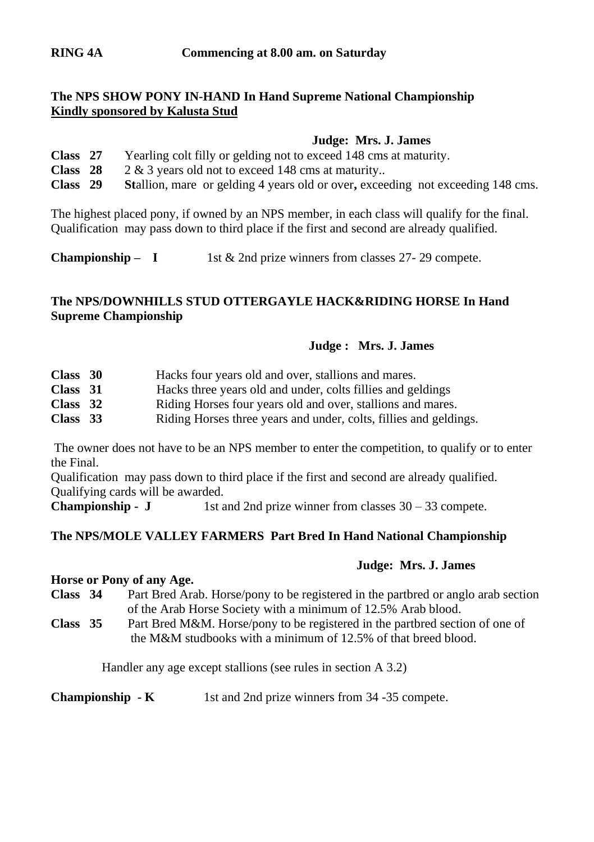# **The NPS SHOW PONY IN-HAND In Hand Supreme National Championship Kindly sponsored by Kalusta Stud**

#### **Judge: Mrs. J. James**

| Class 27 | Yearling colt filly or gelding not to exceed 148 cms at maturity.                       |
|----------|-----------------------------------------------------------------------------------------|
| Class 28 | $2 \& 3$ years old not to exceed 148 cms at maturity                                    |
| Class 29 | <b>Stallion</b> , mare or gelding 4 years old or over, exceeding not exceeding 148 cms. |

The highest placed pony, if owned by an NPS member, in each class will qualify for the final. Qualification may pass down to third place if the first and second are already qualified.

**Championship – I** 1st  $\&$  2nd prize winners from classes 27-29 compete.

# **The NPS/DOWNHILLS STUD OTTERGAYLE HACK&RIDING HORSE In Hand Supreme Championship**

#### **Judge : Mrs. J. James**

| Class 30   | Hacks four years old and over, stallions and mares.               |
|------------|-------------------------------------------------------------------|
| Class 31   | Hacks three years old and under, colts fillies and geldings       |
| Class 32   | Riding Horses four years old and over, stallions and mares.       |
| Class $33$ | Riding Horses three years and under, colts, fillies and geldings. |

The owner does not have to be an NPS member to enter the competition, to qualify or to enter the Final.

Qualification may pass down to third place if the first and second are already qualified. Qualifying cards will be awarded.

**Championship -**  $J$  **1st and 2nd prize winner from classes**  $30 - 33$  **compete.** 

# **The NPS/MOLE VALLEY FARMERS Part Bred In Hand National Championship**

#### **Judge: Mrs. J. James**

#### **Horse or Pony of any Age.**

**Class 34** Part Bred Arab. Horse/pony to be registered in the partbred or anglo arab section of the Arab Horse Society with a minimum of 12.5% Arab blood.

**Class 35** Part Bred M&M. Horse/pony to be registered in the partbred section of one of the M&M studbooks with a minimum of 12.5% of that breed blood.

Handler any age except stallions (see rules in section A 3.2)

**Championship - K** 1st and 2nd prize winners from 34 -35 compete.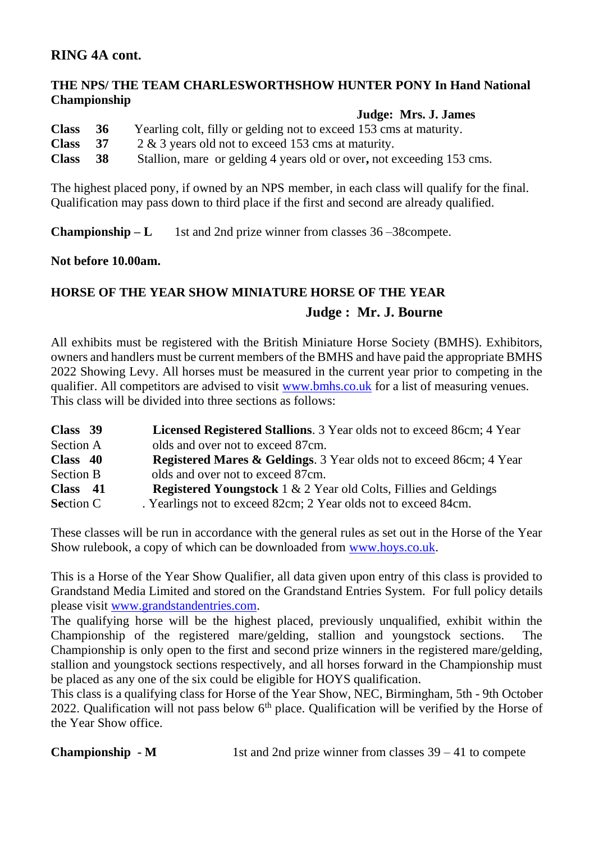# **RING 4A cont.**

# **THE NPS/ THE TEAM CHARLESWORTHSHOW HUNTER PONY In Hand National Championship**

#### **Judge: Mrs. J. James**

| <b>Class</b> | -36 | Yearling colt, filly or gelding not to exceed 153 cms at maturity.    |
|--------------|-----|-----------------------------------------------------------------------|
| <b>Class</b> | 37  | 2 & 3 years old not to exceed 153 cms at maturity.                    |
| <b>Class</b> | -38 | Stallion, mare or gelding 4 years old or over, not exceeding 153 cms. |

The highest placed pony, if owned by an NPS member, in each class will qualify for the final. Qualification may pass down to third place if the first and second are already qualified.

**Championship – L** 1st and 2nd prize winner from classes 36 –38 compete.

**Not before 10.00am.**

# **HORSE OF THE YEAR SHOW MINIATURE HORSE OF THE YEAR Judge : Mr. J. Bourne**

All exhibits must be registered with the British Miniature Horse Society (BMHS). Exhibitors, owners and handlers must be current members of the BMHS and have paid the appropriate BMHS 2022 Showing Levy. All horses must be measured in the current year prior to competing in the qualifier. All competitors are advised to visi[t www.bmhs.co.uk](http://www.bmhs.co.uk/) for a list of measuring venues. This class will be divided into three sections as follows:

| Class 39         | <b>Licensed Registered Stallions.</b> 3 Year olds not to exceed 86cm; 4 Year   |
|------------------|--------------------------------------------------------------------------------|
| Section A        | olds and over not to exceed 87cm.                                              |
| Class 40         | <b>Registered Mares &amp; Geldings.</b> 3 Year olds not to exceed 86cm; 4 Year |
| <b>Section B</b> | olds and over not to exceed 87cm.                                              |
| Class 41         | <b>Registered Youngstock</b> 1 & 2 Year old Colts, Fillies and Geldings        |
| <b>Section C</b> | . Yearlings not to exceed 82cm; 2 Year olds not to exceed 84cm.                |

These classes will be run in accordance with the general rules as set out in the Horse of the Year Show rulebook, a copy of which can be downloaded fro[m www.hoys.co.uk.](http://www.hoys.co.uk/) 

This is a Horse of the Year Show Qualifier, all data given upon entry of this class is provided to Grandstand Media Limited and stored on the Grandstand Entries System. For full policy details please visi[t www.grandstandentries.com.](http://www.grandstandentries.com/)

The qualifying horse will be the highest placed, previously unqualified, exhibit within the Championship of the registered mare/gelding, stallion and youngstock sections. The Championship is only open to the first and second prize winners in the registered mare/gelding, stallion and youngstock sections respectively, and all horses forward in the Championship must be placed as any one of the six could be eligible for HOYS qualification.

This class is a qualifying class for Horse of the Year Show, NEC, Birmingham, 5th - 9th October 2022. Qualification will not pass below  $6<sup>th</sup>$  place. Qualification will be verified by the Horse of the Year Show office.

**Championship -**  $M$  1st and 2nd prize winner from classes  $39 - 41$  to compete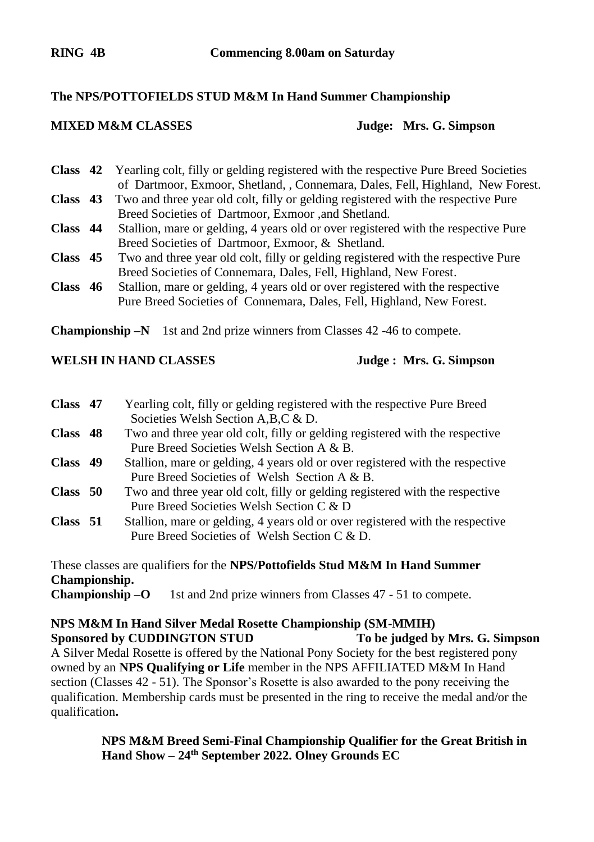# **The NPS/POTTOFIELDS STUD M&M In Hand Summer Championship**

**MIXED M&M CLASSES Judge: Mrs. G. Simpson**

**Class 42** Yearling colt, filly or gelding registered with the respective Pure Breed Societies of Dartmoor, Exmoor, Shetland, , Connemara, Dales, Fell, Highland, New Forest.

- **Class 43** Two and three year old colt, filly or gelding registered with the respective Pure Breed Societies of Dartmoor, Exmoor ,and Shetland.
- **Class 44** Stallion, mare or gelding, 4 years old or over registered with the respective Pure Breed Societies of Dartmoor, Exmoor, & Shetland.
- **Class 45** Two and three year old colt, filly or gelding registered with the respective Pure Breed Societies of Connemara, Dales, Fell, Highland, New Forest.
- **Class 46** Stallion, mare or gelding, 4 years old or over registered with the respective Pure Breed Societies of Connemara, Dales, Fell, Highland, New Forest.

**Championship –N** 1st and 2nd prize winners from Classes 42 -46 to compete.

# **WELSH IN HAND CLASSES Judge : Mrs. G. Simpson**

| Class 47 | Yearling colt, filly or gelding registered with the respective Pure Breed     |
|----------|-------------------------------------------------------------------------------|
|          | Societies Welsh Section A, B, C & D.                                          |
| Class 48 | Two and three year old colt, filly or gelding registered with the respective  |
|          | Pure Breed Societies Welsh Section A & B.                                     |
| Class 49 | Stallion, mare or gelding, 4 years old or over registered with the respective |
|          | Pure Breed Societies of Welsh Section A & B.                                  |
| Class 50 | Two and three year old colt, filly or gelding registered with the respective  |
|          | Pure Breed Societies Welsh Section C & D                                      |
| Class 51 | Stallion, mare or gelding, 4 years old or over registered with the respective |
|          | Pure Breed Societies of Welsh Section C & D.                                  |
|          |                                                                               |

These classes are qualifiers for the **NPS/Pottofields Stud M&M In Hand Summer Championship.**

**Championship –O** 1st and 2nd prize winners from Classes 47 - 51 to compete.

# **NPS M&M In Hand Silver Medal Rosette Championship (SM-MMIH) Sponsored by CUDDINGTON STUD** To be judged by Mrs. G. Simpson

A Silver Medal Rosette is offered by the National Pony Society for the best registered pony owned by an **NPS Qualifying or Life** member in the NPS AFFILIATED M&M In Hand section (Classes 42 - 51). The Sponsor's Rosette is also awarded to the pony receiving the qualification. Membership cards must be presented in the ring to receive the medal and/or the qualification**.** 

> **NPS M&M Breed Semi-Final Championship Qualifier for the Great British in Hand Show – 24th September 2022. Olney Grounds EC**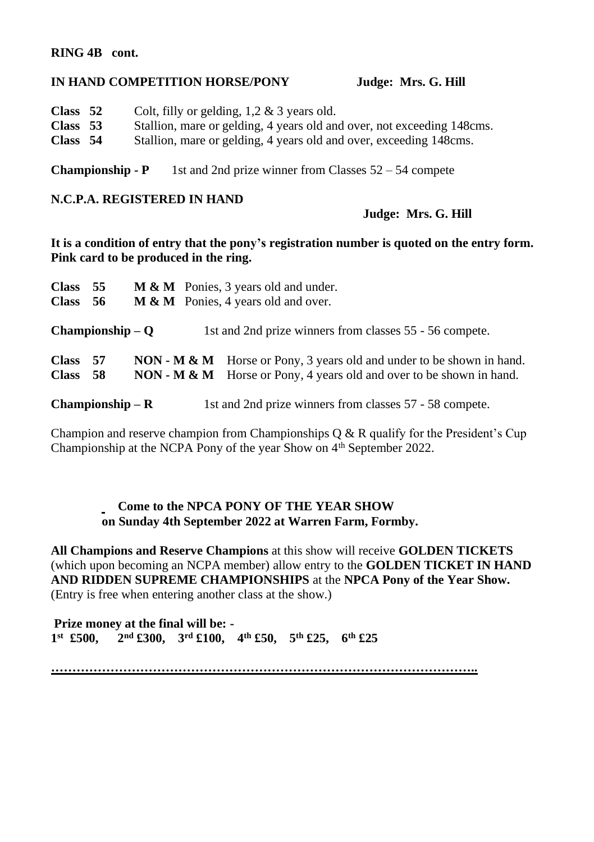# **RING 4B cont.**

### **IN HAND COMPETITION HORSE/PONY Judge: Mrs. G. Hill**

| Class 52 | Colt, filly or gelding, $1,2 \& 3$ years old.                          |
|----------|------------------------------------------------------------------------|
| Class 53 | Stallion, mare or gelding, 4 years old and over, not exceeding 148cms. |
| Class 54 | Stallion, mare or gelding, 4 years old and over, exceeding 148cms.     |

**Championship -**  $P$  1st and 2nd prize winner from Classes  $52 - 54$  compete

#### **N.C.P.A. REGISTERED IN HAND**

# **Judge: Mrs. G. Hill**

**It is a condition of entry that the pony's registration number is quoted on the entry form. Pink card to be produced in the ring.**

| <b>Class</b> | <b>M &amp; M</b> Ponies, 3 years old and under.<br>- 55 |  |                                                                                            |  |  |
|--------------|---------------------------------------------------------|--|--------------------------------------------------------------------------------------------|--|--|
| <b>Class</b> | - 56                                                    |  | <b>M &amp; M</b> Ponies, 4 years old and over.                                             |  |  |
|              | $Championship - O$                                      |  | 1st and 2nd prize winners from classes 55 - 56 compete.                                    |  |  |
| <b>Class</b> | - 57                                                    |  | <b>NON</b> - <b>M</b> & <b>M</b> Horse or Pony, 3 years old and under to be shown in hand. |  |  |
| <b>Class</b> | - 58                                                    |  | <b>NON</b> - <b>M</b> & <b>M</b> Horse or Pony, 4 years old and over to be shown in hand.  |  |  |
|              | $Championship - R$                                      |  | 1st and 2nd prize winners from classes 57 - 58 compete.                                    |  |  |

Champion and reserve champion from Championships  $Q & R$  qualify for the President's Cup Championship at the NCPA Pony of the year Show on 4<sup>th</sup> September 2022.

# **Come to the NPCA PONY OF THE YEAR SHOW on Sunday 4th September 2022 at Warren Farm, Formby.**

**All Champions and Reserve Champions** at this show will receive **GOLDEN TICKETS**  (which upon becoming an NCPA member) allow entry to the **GOLDEN TICKET IN HAND AND RIDDEN SUPREME CHAMPIONSHIPS** at the **NPCA Pony of the Year Show.**  (Entry is free when entering another class at the show.)

**Prize money at the final will be: - 1 st £500, 2nd £300, 3rd £100, 4th £50, 5th £25, 6th £25**

**………………………………………………………………………………………..**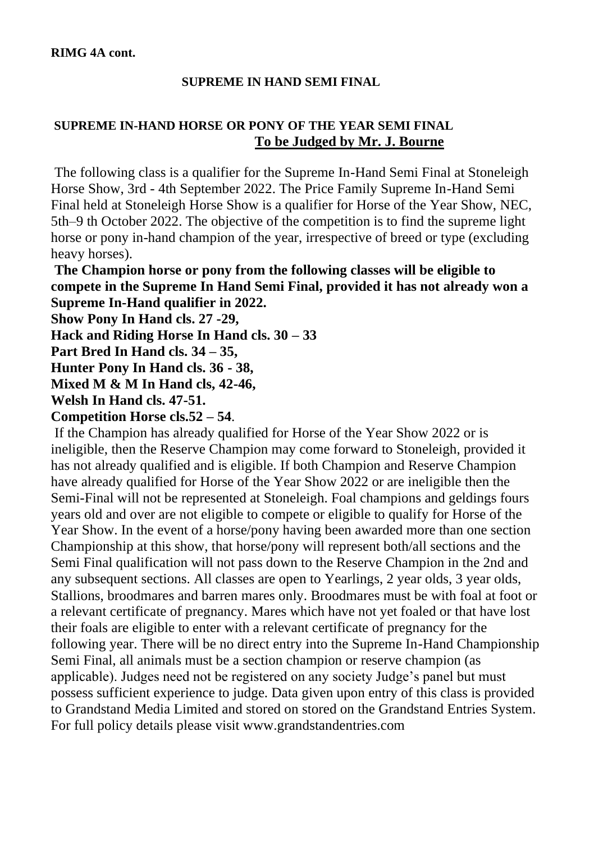# **SUPREME IN HAND SEMI FINAL**

# **SUPREME IN-HAND HORSE OR PONY OF THE YEAR SEMI FINAL To be Judged by Mr. J. Bourne**

The following class is a qualifier for the Supreme In-Hand Semi Final at Stoneleigh Horse Show, 3rd - 4th September 2022. The Price Family Supreme In-Hand Semi Final held at Stoneleigh Horse Show is a qualifier for Horse of the Year Show, NEC, 5th–9 th October 2022. The objective of the competition is to find the supreme light horse or pony in-hand champion of the year, irrespective of breed or type (excluding heavy horses).

**The Champion horse or pony from the following classes will be eligible to compete in the Supreme In Hand Semi Final, provided it has not already won a Supreme In-Hand qualifier in 2022.** 

**Show Pony In Hand cls. 27 -29,** 

**Hack and Riding Horse In Hand cls. 30 – 33**

**Part Bred In Hand cls. 34 – 35,** 

**Hunter Pony In Hand cls. 36 - 38,** 

**Mixed M & M In Hand cls, 42-46,** 

**Welsh In Hand cls. 47-51.** 

**Competition Horse cls.52 – 54**.

If the Champion has already qualified for Horse of the Year Show 2022 or is ineligible, then the Reserve Champion may come forward to Stoneleigh, provided it has not already qualified and is eligible. If both Champion and Reserve Champion have already qualified for Horse of the Year Show 2022 or are ineligible then the Semi-Final will not be represented at Stoneleigh. Foal champions and geldings fours years old and over are not eligible to compete or eligible to qualify for Horse of the Year Show. In the event of a horse/pony having been awarded more than one section Championship at this show, that horse/pony will represent both/all sections and the Semi Final qualification will not pass down to the Reserve Champion in the 2nd and any subsequent sections. All classes are open to Yearlings, 2 year olds, 3 year olds, Stallions, broodmares and barren mares only. Broodmares must be with foal at foot or a relevant certificate of pregnancy. Mares which have not yet foaled or that have lost their foals are eligible to enter with a relevant certificate of pregnancy for the following year. There will be no direct entry into the Supreme In-Hand Championship Semi Final, all animals must be a section champion or reserve champion (as applicable). Judges need not be registered on any society Judge's panel but must possess sufficient experience to judge. Data given upon entry of this class is provided to Grandstand Media Limited and stored on stored on the Grandstand Entries System. For full policy details please visit www.grandstandentries.com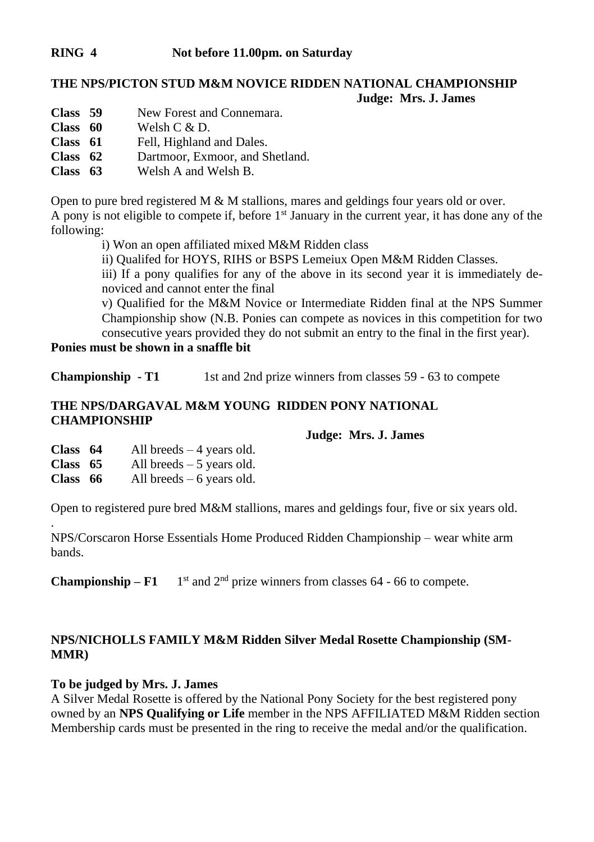# **RING 4 Not before 11.00pm. on Saturday**

#### **THE NPS/PICTON STUD M&M NOVICE RIDDEN NATIONAL CHAMPIONSHIP Judge: Mrs. J. James**

- **Class 59** New Forest and Connemara.
- **Class 60** Welsh C & D.<br> **Class 61** Fell. Highland
- **Class 61** Fell, Highland and Dales.<br> **Class 62** Dartmoor Exmoor and S
- **Class 62** Dartmoor, Exmoor, and Shetland.
- **Class 63** Welsh A and Welsh B.

Open to pure bred registered M  $\&$  M stallions, mares and geldings four years old or over. A pony is not eligible to compete if, before  $1<sup>st</sup>$  January in the current year, it has done any of the following:

i) Won an open affiliated mixed M&M Ridden class

ii) Qualifed for HOYS, RIHS or BSPS Lemeiux Open M&M Ridden Classes.

iii) If a pony qualifies for any of the above in its second year it is immediately denoviced and cannot enter the final

v) Qualified for the M&M Novice or Intermediate Ridden final at the NPS Summer Championship show (N.B. Ponies can compete as novices in this competition for two consecutive years provided they do not submit an entry to the final in the first year).

**Ponies must be shown in a snaffle bit**

**Championship - T1** 1st and 2nd prize winners from classes 59 - 63 to compete

# **THE NPS/DARGAVAL M&M YOUNG RIDDEN PONY NATIONAL CHAMPIONSHIP**

#### **Judge: Mrs. J. James**

**Class 64** All breeds – 4 years old. **Class 65** All breeds – 5 years old. **Class 66** All breeds – 6 years old.

.

Open to registered pure bred M&M stallions, mares and geldings four, five or six years old.

NPS/Corscaron Horse Essentials Home Produced Ridden Championship – wear white arm bands.

**Championship –**  $\text{F1}$  1<sup>st</sup> and  $2^{\text{nd}}$  prize winners from classes 64 - 66 to compete.

# **NPS/NICHOLLS FAMILY M&M Ridden Silver Medal Rosette Championship (SM-MMR)**

#### **To be judged by Mrs. J. James**

A Silver Medal Rosette is offered by the National Pony Society for the best registered pony owned by an **NPS Qualifying or Life** member in the NPS AFFILIATED M&M Ridden section Membership cards must be presented in the ring to receive the medal and/or the qualification.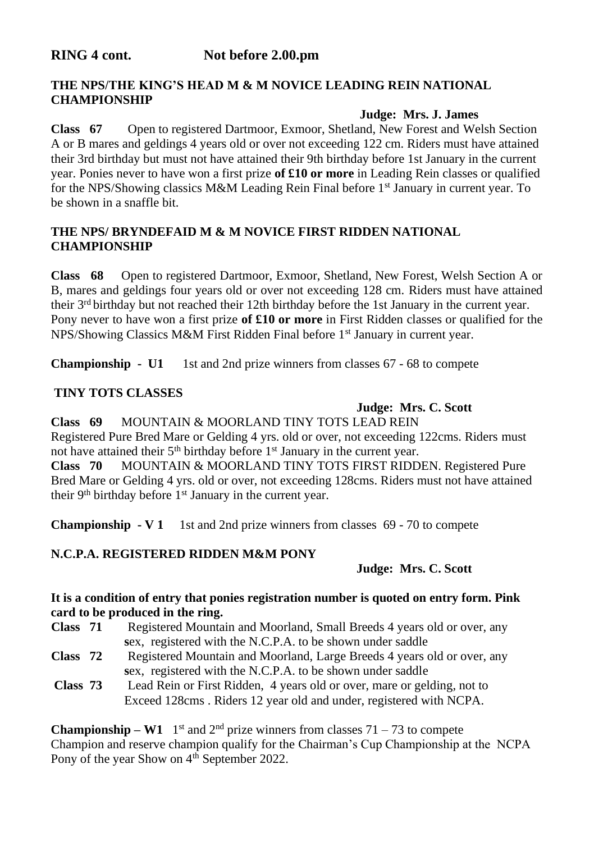# **THE NPS/THE KING'S HEAD M & M NOVICE LEADING REIN NATIONAL CHAMPIONSHIP**

## **Judge: Mrs. J. James**

**Class 67** Open to registered Dartmoor, Exmoor, Shetland, New Forest and Welsh Section A or B mares and geldings 4 years old or over not exceeding 122 cm. Riders must have attained their 3rd birthday but must not have attained their 9th birthday before 1st January in the current year. Ponies never to have won a first prize **of £10 or more** in Leading Rein classes or qualified for the NPS/Showing classics M&M Leading Rein Final before 1st January in current year. To be shown in a snaffle bit.

# **THE NPS/ BRYNDEFAID M & M NOVICE FIRST RIDDEN NATIONAL CHAMPIONSHIP**

**Class 68** Open to registered Dartmoor, Exmoor, Shetland, New Forest, Welsh Section A or B, mares and geldings four years old or over not exceeding 128 cm. Riders must have attained their 3rd birthday but not reached their 12th birthday before the 1st January in the current year. Pony never to have won a first prize **of £10 or more** in First Ridden classes or qualified for the NPS/Showing Classics M&M First Ridden Final before 1st January in current year.

**Championship - U1** 1st and 2nd prize winners from classes 67 - 68 to compete

# **TINY TOTS CLASSES**

# **Judge: Mrs. C. Scott**

**Class 69** MOUNTAIN & MOORLAND TINY TOTS LEAD REIN Registered Pure Bred Mare or Gelding 4 yrs. old or over, not exceeding 122cms. Riders must not have attained their 5<sup>th</sup> birthday before 1<sup>st</sup> January in the current year. **Class 70** MOUNTAIN & MOORLAND TINY TOTS FIRST RIDDEN. Registered Pure Bred Mare or Gelding 4 yrs. old or over, not exceeding 128cms. Riders must not have attained their 9<sup>th</sup> birthday before 1<sup>st</sup> January in the current year.

**Championship - V 1** 1st and 2nd prize winners from classes 69 - 70 to compete

# **N.C.P.A. REGISTERED RIDDEN M&M PONY**

# **Judge: Mrs. C. Scott**

#### **It is a condition of entry that ponies registration number is quoted on entry form. Pink card to be produced in the ring.**

- **Class 71** Registered Mountain and Moorland, Small Breeds 4 years old or over, any  **s**ex, registered with the N.C.P.A. to be shown under saddle
- **Class 72** Registered Mountain and Moorland, Large Breeds 4 years old or over, any  **s**ex, registered with the N.C.P.A. to be shown under saddle

**Class 73** Lead Rein or First Ridden, 4 years old or over, mare or gelding, not to Exceed 128cms . Riders 12 year old and under, registered with NCPA.

**Championship – W1** 1<sup>st</sup> and 2<sup>nd</sup> prize winners from classes 71 – 73 to compete Champion and reserve champion qualify for the Chairman's Cup Championship at the NCPA Pony of the year Show on 4<sup>th</sup> September 2022.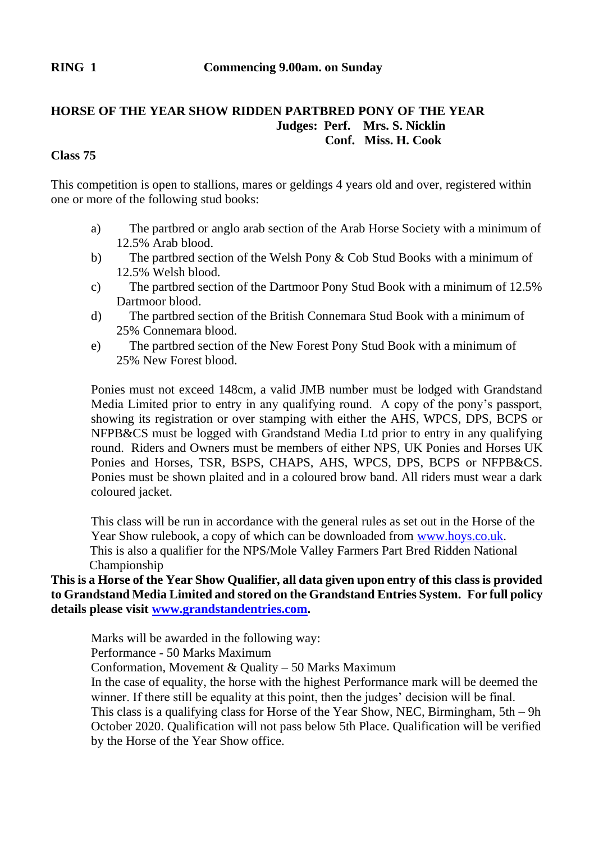# **HORSE OF THE YEAR SHOW RIDDEN PARTBRED PONY OF THE YEAR Judges: Perf. Mrs. S. Nicklin Conf. Miss. H. Cook**

# **Class 75**

This competition is open to stallions, mares or geldings 4 years old and over, registered within one or more of the following stud books:

- a) The partbred or anglo arab section of the Arab Horse Society with a minimum of 12.5% Arab blood.
- b) The partbred section of the Welsh Pony & Cob Stud Books with a minimum of 12.5% Welsh blood.
- c) The partbred section of the Dartmoor Pony Stud Book with a minimum of 12.5% Dartmoor blood.
- d) The partbred section of the British Connemara Stud Book with a minimum of 25% Connemara blood.
- e) The partbred section of the New Forest Pony Stud Book with a minimum of 25% New Forest blood.

Ponies must not exceed 148cm, a valid JMB number must be lodged with Grandstand Media Limited prior to entry in any qualifying round. A copy of the pony's passport, showing its registration or over stamping with either the AHS, WPCS, DPS, BCPS or NFPB&CS must be logged with Grandstand Media Ltd prior to entry in any qualifying round. Riders and Owners must be members of either NPS, UK Ponies and Horses UK Ponies and Horses, TSR, BSPS, CHAPS, AHS, WPCS, DPS, BCPS or NFPB&CS. Ponies must be shown plaited and in a coloured brow band. All riders must wear a dark coloured jacket.

This class will be run in accordance with the general rules as set out in the Horse of the Year Show rulebook, a copy of which can be downloaded from www.hoys.co.uk. This is also a qualifier for the NPS/Mole Valley Farmers Part Bred Ridden National Championship

# **This is a Horse of the Year Show Qualifier, all data given upon entry of this class is provided to Grandstand Media Limited and stored on the Grandstand Entries System. For full policy details please visi[t www.grandstandentries.com.](http://www.grandstandentries.com/)**

Marks will be awarded in the following way: Performance - 50 Marks Maximum Conformation, Movement & Quality – 50 Marks Maximum In the case of equality, the horse with the highest Performance mark will be deemed the winner. If there still be equality at this point, then the judges' decision will be final. This class is a qualifying class for Horse of the Year Show, NEC, Birmingham, 5th – 9h October 2020. Qualification will not pass below 5th Place. Qualification will be verified by the Horse of the Year Show office.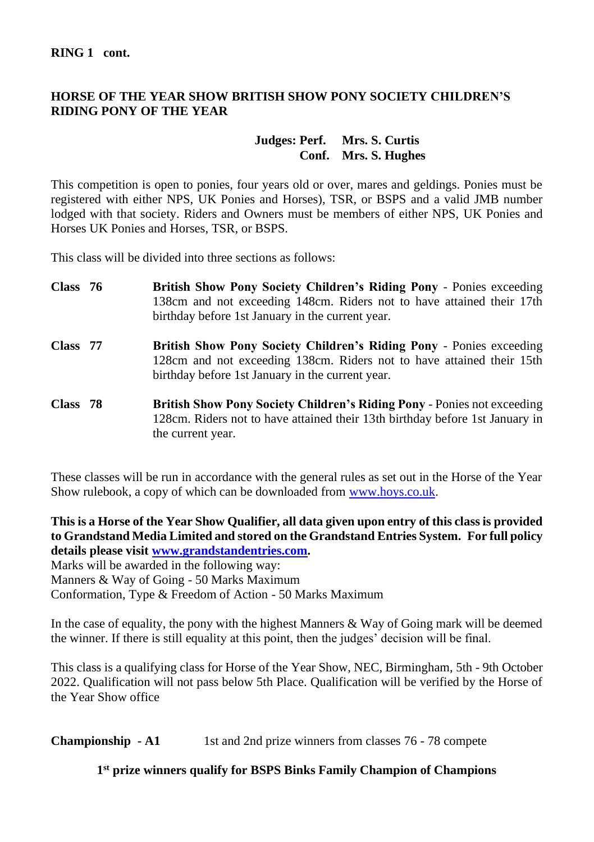# **HORSE OF THE YEAR SHOW BRITISH SHOW PONY SOCIETY CHILDREN'S RIDING PONY OF THE YEAR**

#### **Judges: Perf. Mrs. S. Curtis Conf. Mrs. S. Hughes**

This competition is open to ponies, four years old or over, mares and geldings. Ponies must be registered with either NPS, UK Ponies and Horses), TSR, or BSPS and a valid JMB number lodged with that society. Riders and Owners must be members of either NPS, UK Ponies and Horses UK Ponies and Horses, TSR, or BSPS.

This class will be divided into three sections as follows:

| Class 76 | <b>British Show Pony Society Children's Riding Pony - Ponies exceeding</b><br>138cm and not exceeding 148cm. Riders not to have attained their 17th<br>birthday before 1st January in the current year. |
|----------|---------------------------------------------------------------------------------------------------------------------------------------------------------------------------------------------------------|
| Class 77 | <b>British Show Pony Society Children's Riding Pony - Ponies exceeding</b><br>128cm and not exceeding 138cm. Riders not to have attained their 15th<br>birthday before 1st January in the current year. |
| Class 78 | <b>British Show Pony Society Children's Riding Pony - Ponies not exceeding</b><br>128cm. Riders not to have attained their 13th birthday before 1st January in<br>the current year.                     |

These classes will be run in accordance with the general rules as set out in the Horse of the Year Show rulebook, a copy of which can be downloaded fro[m www.hoys.co.uk.](http://www.hoys.co.uk/) 

**This is a Horse of the Year Show Qualifier, all data given upon entry of this class is provided to Grandstand Media Limited and stored on the Grandstand Entries System. For full policy details please visi[t www.grandstandentries.com.](http://www.grandstandentries.com/)**

Marks will be awarded in the following way:

Manners & Way of Going - 50 Marks Maximum

Conformation, Type & Freedom of Action - 50 Marks Maximum

In the case of equality, the pony with the highest Manners & Way of Going mark will be deemed the winner. If there is still equality at this point, then the judges' decision will be final.

This class is a qualifying class for Horse of the Year Show, NEC, Birmingham, 5th - 9th October 2022. Qualification will not pass below 5th Place. Qualification will be verified by the Horse of the Year Show office

**Championship - A1** 1st and 2nd prize winners from classes 76 - 78 compete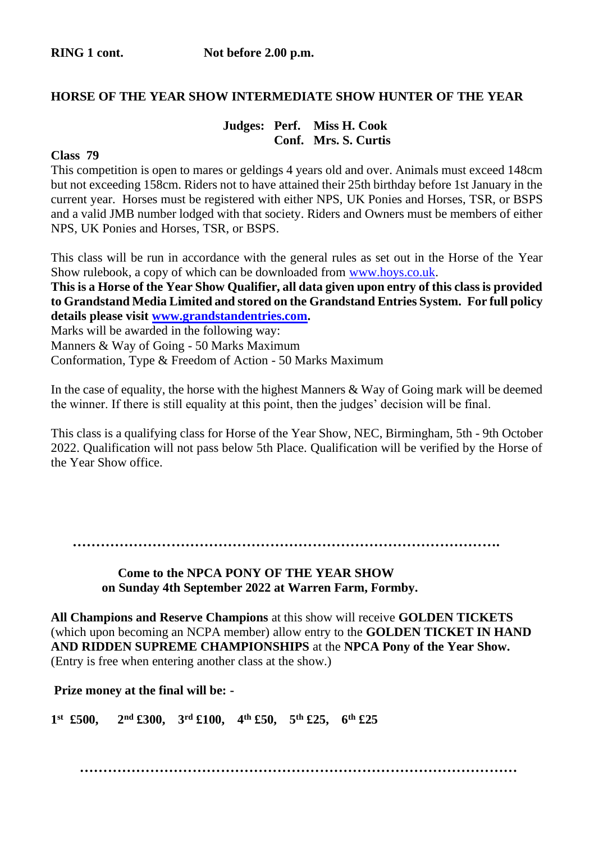#### **HORSE OF THE YEAR SHOW INTERMEDIATE SHOW HUNTER OF THE YEAR**

## **Judges: Perf. Miss H. Cook Conf. Mrs. S. Curtis**

#### **Class 79**

This competition is open to mares or geldings 4 years old and over. Animals must exceed 148cm but not exceeding 158cm. Riders not to have attained their 25th birthday before 1st January in the current year. Horses must be registered with either NPS, UK Ponies and Horses, TSR, or BSPS and a valid JMB number lodged with that society. Riders and Owners must be members of either NPS, UK Ponies and Horses, TSR, or BSPS.

This class will be run in accordance with the general rules as set out in the Horse of the Year Show rulebook, a copy of which can be downloaded fro[m www.hoys.co.uk.](http://www.hoys.co.uk/) 

**This is a Horse of the Year Show Qualifier, all data given upon entry of this class is provided to Grandstand Media Limited and stored on the Grandstand Entries System. For full policy details please visi[t www.grandstandentries.com.](http://www.grandstandentries.com/)**

Marks will be awarded in the following way:

Manners & Way of Going - 50 Marks Maximum

Conformation, Type & Freedom of Action - 50 Marks Maximum

In the case of equality, the horse with the highest Manners  $&$  Way of Going mark will be deemed the winner. If there is still equality at this point, then the judges' decision will be final.

This class is a qualifying class for Horse of the Year Show, NEC, Birmingham, 5th - 9th October 2022. Qualification will not pass below 5th Place. Qualification will be verified by the Horse of the Year Show office.

 **……………………………………………………………………………….**

 **Come to the NPCA PONY OF THE YEAR SHOW on Sunday 4th September 2022 at Warren Farm, Formby.**

**All Champions and Reserve Champions** at this show will receive **GOLDEN TICKETS**  (which upon becoming an NCPA member) allow entry to the **GOLDEN TICKET IN HAND AND RIDDEN SUPREME CHAMPIONSHIPS** at the **NPCA Pony of the Year Show.**  (Entry is free when entering another class at the show.)

**Prize money at the final will be: -**

**1 st £500, 2nd £300, 3rd £100, 4th £50, 5th £25, 6th £25**

 **…………………………………………………………………………………**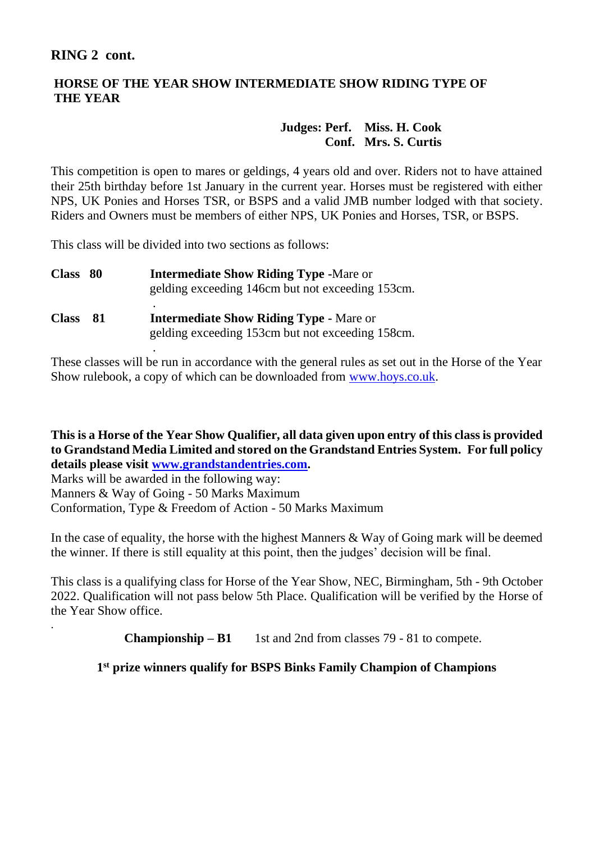# **RING 2 cont.**

.

# **HORSE OF THE YEAR SHOW INTERMEDIATE SHOW RIDING TYPE OF THE YEAR**

# **Judges: Perf. Miss. H. Cook Conf. Mrs. S. Curtis**

This competition is open to mares or geldings, 4 years old and over. Riders not to have attained their 25th birthday before 1st January in the current year. Horses must be registered with either NPS, UK Ponies and Horses TSR, or BSPS and a valid JMB number lodged with that society. Riders and Owners must be members of either NPS, UK Ponies and Horses, TSR, or BSPS.

This class will be divided into two sections as follows:

.

| <b>Class</b> | -80  | <b>Intermediate Show Riding Type -Mare or</b><br>gelding exceeding 146cm but not exceeding 153cm.  |
|--------------|------|----------------------------------------------------------------------------------------------------|
| <b>Class</b> | - 81 | <b>Intermediate Show Riding Type - Mare or</b><br>gelding exceeding 153cm but not exceeding 158cm. |

These classes will be run in accordance with the general rules as set out in the Horse of the Year Show rulebook, a copy of which can be downloaded fro[m www.hoys.co.uk.](http://www.hoys.co.uk/) 

**This is a Horse of the Year Show Qualifier, all data given upon entry of this class is provided to Grandstand Media Limited and stored on the Grandstand Entries System. For full policy details please visi[t www.grandstandentries.com.](http://www.grandstandentries.com/)**

Marks will be awarded in the following way: Manners & Way of Going - 50 Marks Maximum Conformation, Type & Freedom of Action - 50 Marks Maximum

In the case of equality, the horse with the highest Manners  $\&$  Way of Going mark will be deemed the winner. If there is still equality at this point, then the judges' decision will be final.

This class is a qualifying class for Horse of the Year Show, NEC, Birmingham, 5th - 9th October 2022. Qualification will not pass below 5th Place. Qualification will be verified by the Horse of the Year Show office.

**Championship – B1** 1st and 2nd from classes 79 - 81 to compete.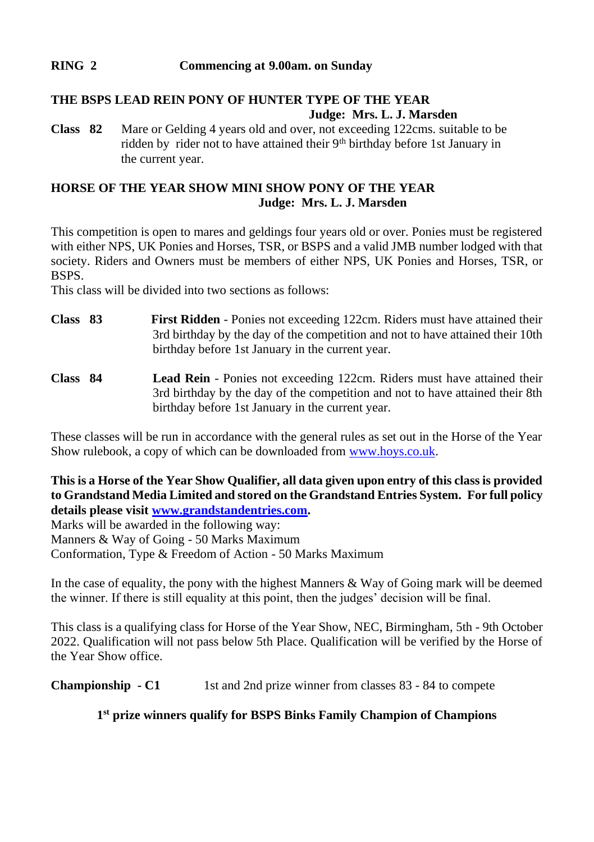# **RING 2 Commencing at 9.00am. on Sunday**

# **THE BSPS LEAD REIN PONY OF HUNTER TYPE OF THE YEAR**

 **Judge: Mrs. L. J. Marsden**

**Class 82** Mare or Gelding 4 years old and over, not exceeding 122cms. suitable to be ridden by rider not to have attained their 9<sup>th</sup> birthday before 1st January in the current year.

# **HORSE OF THE YEAR SHOW MINI SHOW PONY OF THE YEAR Judge: Mrs. L. J. Marsden**

This competition is open to mares and geldings four years old or over. Ponies must be registered with either NPS, UK Ponies and Horses, TSR, or BSPS and a valid JMB number lodged with that society. Riders and Owners must be members of either NPS, UK Ponies and Horses, TSR, or **BSPS**.

This class will be divided into two sections as follows:

- **Class 83 First Ridden** Ponies not exceeding 122cm. Riders must have attained their 3rd birthday by the day of the competition and not to have attained their 10th birthday before 1st January in the current year.
- **Class 84 Lead Rein** Ponies not exceeding 122cm. Riders must have attained their 3rd birthday by the day of the competition and not to have attained their 8th birthday before 1st January in the current year.

These classes will be run in accordance with the general rules as set out in the Horse of the Year Show rulebook, a copy of which can be downloaded from www.hoys.co.uk.

**This is a Horse of the Year Show Qualifier, all data given upon entry of this class is provided to Grandstand Media Limited and stored on the Grandstand Entries System. For full policy details please visi[t www.grandstandentries.com.](http://www.grandstandentries.com/)**

Marks will be awarded in the following way: Manners & Way of Going - 50 Marks Maximum Conformation, Type & Freedom of Action - 50 Marks Maximum

In the case of equality, the pony with the highest Manners  $\&$  Way of Going mark will be deemed the winner. If there is still equality at this point, then the judges' decision will be final.

This class is a qualifying class for Horse of the Year Show, NEC, Birmingham, 5th - 9th October 2022. Qualification will not pass below 5th Place. Qualification will be verified by the Horse of the Year Show office.

**Championship - C1** 1st and 2nd prize winner from classes 83 - 84 to compete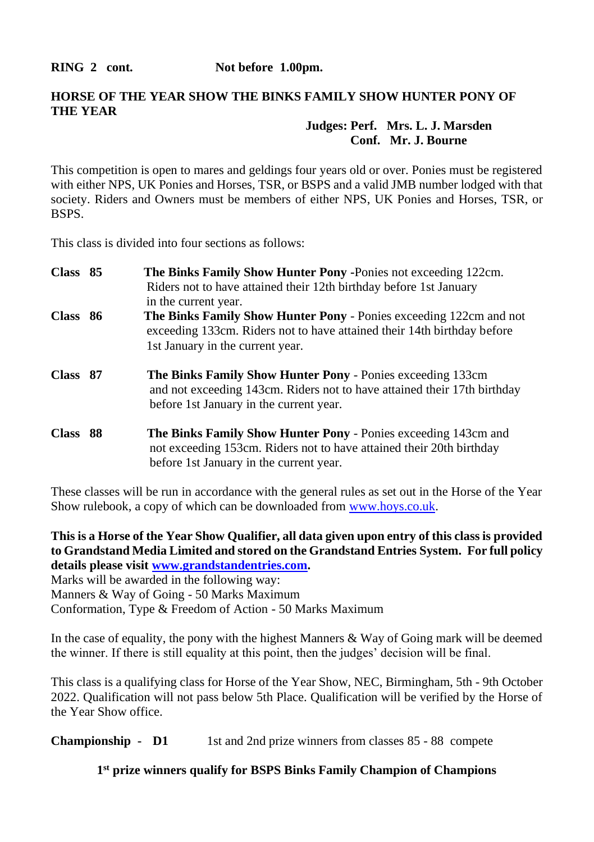RING 2 cont. Not before 1.00pm.

# **HORSE OF THE YEAR SHOW THE BINKS FAMILY SHOW HUNTER PONY OF THE YEAR**

# **Judges: Perf. Mrs. L. J. Marsden Conf. Mr. J. Bourne**

This competition is open to mares and geldings four years old or over. Ponies must be registered with either NPS, UK Ponies and Horses, TSR, or BSPS and a valid JMB number lodged with that society. Riders and Owners must be members of either NPS, UK Ponies and Horses, TSR, or BSPS.

This class is divided into four sections as follows:

| Class 85 | The Binks Family Show Hunter Pony - Ponies not exceeding 122cm.<br>Riders not to have attained their 12th birthday before 1st January<br>in the current year.                            |
|----------|------------------------------------------------------------------------------------------------------------------------------------------------------------------------------------------|
| Class 86 | <b>The Binks Family Show Hunter Pony - Ponies exceeding 122cm and not</b><br>exceeding 133cm. Riders not to have attained their 14th birthday before<br>1st January in the current year. |
| Class 87 | <b>The Binks Family Show Hunter Pony - Ponies exceeding 133cm</b><br>and not exceeding 143cm. Riders not to have attained their 17th birthday<br>before 1st January in the current year. |
| Class 88 | <b>The Binks Family Show Hunter Pony - Ponies exceeding 143cm and</b><br>not exceeding 153cm. Riders not to have attained their 20th birthday<br>before 1st January in the current year. |

These classes will be run in accordance with the general rules as set out in the Horse of the Year Show rulebook, a copy of which can be downloaded fro[m www.hoys.co.uk.](http://www.hoys.co.uk/) 

**This is a Horse of the Year Show Qualifier, all data given upon entry of this class is provided to Grandstand Media Limited and stored on the Grandstand Entries System. For full policy details please visi[t www.grandstandentries.com.](http://www.grandstandentries.com/)**

Marks will be awarded in the following way: Manners & Way of Going - 50 Marks Maximum Conformation, Type & Freedom of Action - 50 Marks Maximum

In the case of equality, the pony with the highest Manners  $&$  Way of Going mark will be deemed the winner. If there is still equality at this point, then the judges' decision will be final.

This class is a qualifying class for Horse of the Year Show, NEC, Birmingham, 5th - 9th October 2022. Qualification will not pass below 5th Place. Qualification will be verified by the Horse of the Year Show office.

**Championship - D1** 1st and 2nd prize winners from classes 85 - 88 compete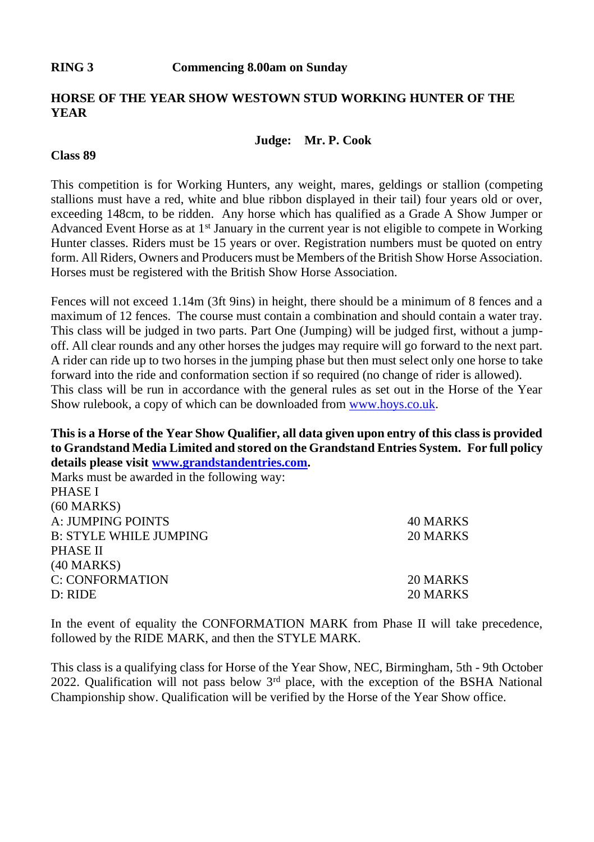# **HORSE OF THE YEAR SHOW WESTOWN STUD WORKING HUNTER OF THE YEAR**

#### **Judge: Mr. P. Cook**

# **Class 89**

This competition is for Working Hunters, any weight, mares, geldings or stallion (competing stallions must have a red, white and blue ribbon displayed in their tail) four years old or over, exceeding 148cm, to be ridden. Any horse which has qualified as a Grade A Show Jumper or Advanced Event Horse as at  $1<sup>st</sup>$  January in the current year is not eligible to compete in Working Hunter classes. Riders must be 15 years or over. Registration numbers must be quoted on entry form. All Riders, Owners and Producers must be Members of the British Show Horse Association. Horses must be registered with the British Show Horse Association.

Fences will not exceed 1.14m (3ft 9ins) in height, there should be a minimum of 8 fences and a maximum of 12 fences. The course must contain a combination and should contain a water tray. This class will be judged in two parts. Part One (Jumping) will be judged first, without a jumpoff. All clear rounds and any other horses the judges may require will go forward to the next part. A rider can ride up to two horses in the jumping phase but then must select only one horse to take forward into the ride and conformation section if so required (no change of rider is allowed). This class will be run in accordance with the general rules as set out in the Horse of the Year Show rulebook, a copy of which can be downloaded fro[m www.hoys.co.uk.](http://www.hoys.co.uk/) 

**This is a Horse of the Year Show Qualifier, all data given upon entry of this class is provided to Grandstand Media Limited and stored on the Grandstand Entries System. For full policy details please visi[t www.grandstandentries.com.](http://www.grandstandentries.com/)**

| Marks must be awarded in the following way: |                 |
|---------------------------------------------|-----------------|
| <b>PHASE I</b>                              |                 |
| (60 MARKS)                                  |                 |
| A: JUMPING POINTS                           | <b>40 MARKS</b> |
| <b>B: STYLE WHILE JUMPING</b>               | 20 MARKS        |
| PHASE II                                    |                 |
| (40 MARKS)                                  |                 |
| <b>C: CONFORMATION</b>                      | 20 MARKS        |
| D: RIDE                                     | 20 MARKS        |
|                                             |                 |

In the event of equality the CONFORMATION MARK from Phase II will take precedence, followed by the RIDE MARK, and then the STYLE MARK.

This class is a qualifying class for Horse of the Year Show, NEC, Birmingham, 5th - 9th October 2022. Qualification will not pass below 3rd place, with the exception of the BSHA National Championship show. Qualification will be verified by the Horse of the Year Show office.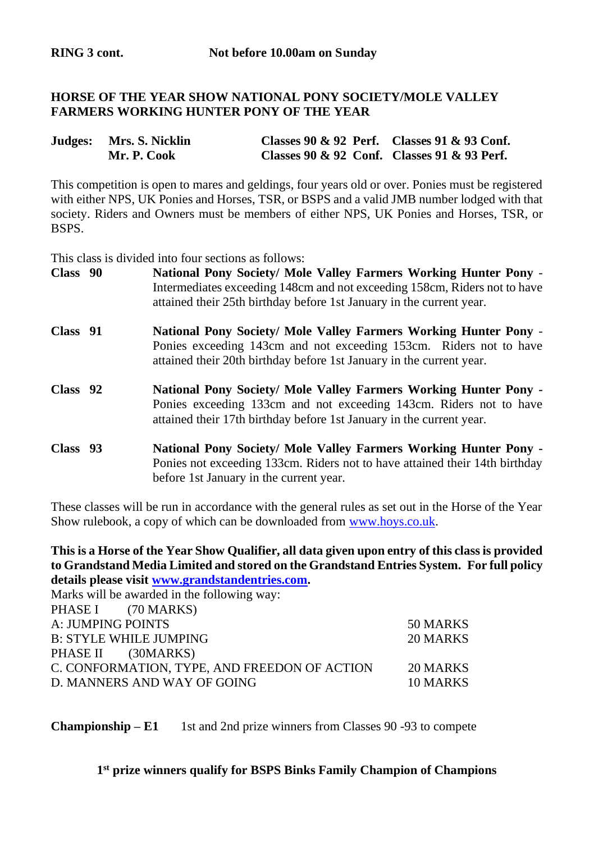# **HORSE OF THE YEAR SHOW NATIONAL PONY SOCIETY/MOLE VALLEY FARMERS WORKING HUNTER PONY OF THE YEAR**

| Judges: Mrs. S. Nicklin | Classes 90 & 92 Perf. Classes 91 & 93 Conf. |  |
|-------------------------|---------------------------------------------|--|
| Mr. P. Cook             | Classes 90 & 92 Conf. Classes 91 & 93 Perf. |  |

This competition is open to mares and geldings, four years old or over. Ponies must be registered with either NPS, UK Ponies and Horses, TSR, or BSPS and a valid JMB number lodged with that society. Riders and Owners must be members of either NPS, UK Ponies and Horses, TSR, or BSPS.

This class is divided into four sections as follows:

| Class 90 | National Pony Society/ Mole Valley Farmers Working Hunter Pony -<br>Intermediates exceeding 148cm and not exceeding 158cm, Riders not to have<br>attained their 25th birthday before 1st January in the current year. |
|----------|-----------------------------------------------------------------------------------------------------------------------------------------------------------------------------------------------------------------------|
| Class 91 | National Pony Society/ Mole Valley Farmers Working Hunter Pony -<br>Ponies exceeding 143cm and not exceeding 153cm. Riders not to have<br>attained their 20th birthday before 1st January in the current year.        |
| Class 92 | National Pony Society/ Mole Valley Farmers Working Hunter Pony -<br>Ponies exceeding 133cm and not exceeding 143cm. Riders not to have<br>attained their 17th birthday before 1st January in the current year.        |
| Class 93 | National Pony Society/ Mole Valley Farmers Working Hunter Pony -<br>Ponies not exceeding 133cm. Riders not to have attained their 14th birthday<br>before 1st January in the current year.                            |

These classes will be run in accordance with the general rules as set out in the Horse of the Year Show rulebook, a copy of which can be downloaded fro[m www.hoys.co.uk.](http://www.hoys.co.uk/) 

**This is a Horse of the Year Show Qualifier, all data given upon entry of this class is provided to Grandstand Media Limited and stored on the Grandstand Entries System. For full policy details please visi[t www.grandstandentries.com.](http://www.grandstandentries.com/)**

| 50 MARKS |
|----------|
| 20 MARKS |
|          |
| 20 MARKS |
| 10 MARKS |
|          |

**Championship – E1** 1st and 2nd prize winners from Classes 90 -93 to compete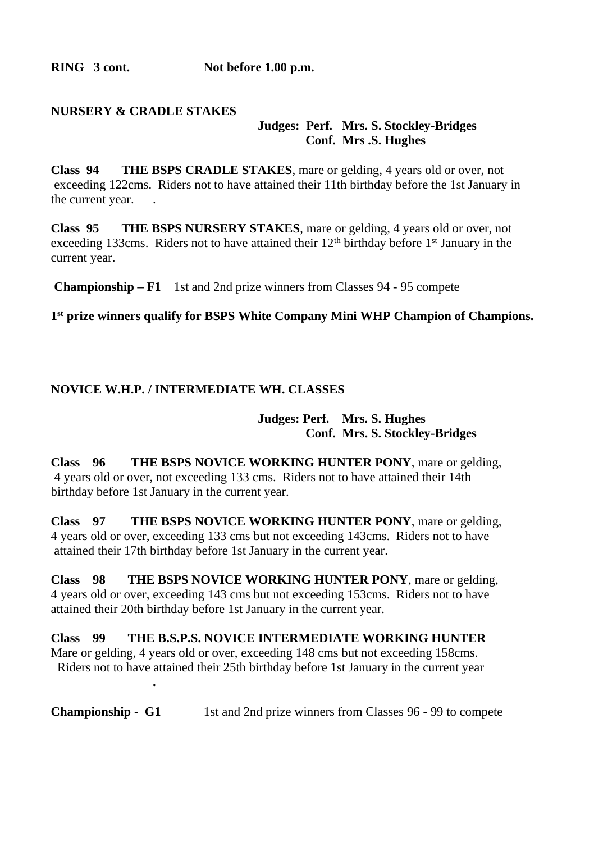**RING 3 cont. Not before 1.00 p.m.**

## **NURSERY & CRADLE STAKES Judges: Perf. Mrs. S. Stockley-Bridges Conf. Mrs .S. Hughes**

**Class 94 THE BSPS CRADLE STAKES**, mare or gelding, 4 years old or over, not exceeding 122cms. Riders not to have attained their 11th birthday before the 1st January in the current year.

**Class 95 THE BSPS NURSERY STAKES**, mare or gelding, 4 years old or over, not exceeding 133cms. Riders not to have attained their  $12<sup>th</sup>$  birthday before 1<sup>st</sup> January in the current year.

**Championship – F1** 1st and 2nd prize winners from Classes 94 - 95 compete

**1 st prize winners qualify for BSPS White Company Mini WHP Champion of Champions.** 

# **NOVICE W.H.P. / INTERMEDIATE WH. CLASSES**

**.**

# **Judges: Perf. Mrs. S. Hughes Conf. Mrs. S. Stockley-Bridges**

**Class 96 THE BSPS NOVICE WORKING HUNTER PONY**, mare or gelding, 4 years old or over, not exceeding 133 cms. Riders not to have attained their 14th birthday before 1st January in the current year.

**Class 97 THE BSPS NOVICE WORKING HUNTER PONY**, mare or gelding, 4 years old or over, exceeding 133 cms but not exceeding 143cms. Riders not to have attained their 17th birthday before 1st January in the current year.

**Class 98 THE BSPS NOVICE WORKING HUNTER PONY**, mare or gelding, 4 years old or over, exceeding 143 cms but not exceeding 153cms. Riders not to have attained their 20th birthday before 1st January in the current year.

**Class 99 THE B.S.P.S. NOVICE INTERMEDIATE WORKING HUNTER** Mare or gelding, 4 years old or over, exceeding 148 cms but not exceeding 158cms. Riders not to have attained their 25th birthday before 1st January in the current year

**Championship - G1** 1st and 2nd prize winners from Classes 96 - 99 to compete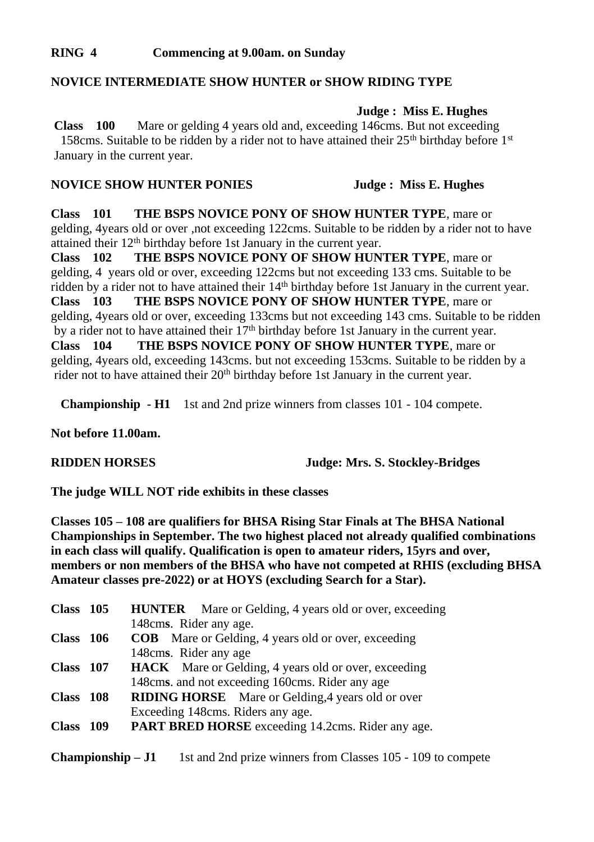# **RING 4 Commencing at 9.00am. on Sunday**

### **NOVICE INTERMEDIATE SHOW HUNTER or SHOW RIDING TYPE**

**Judge : Miss E. Hughes**

**Class 100** Mare or gelding 4 years old and, exceeding 146cms. But not exceeding 158cms. Suitable to be ridden by a rider not to have attained their 25<sup>th</sup> birthday before 1<sup>st</sup> January in the current year.

#### **NOVICE SHOW HUNTER PONIES** Judge : Miss E. Hughes

**Class 101 THE BSPS NOVICE PONY OF SHOW HUNTER TYPE**, mare or gelding, 4years old or over ,not exceeding 122cms. Suitable to be ridden by a rider not to have attained their 12<sup>th</sup> birthday before 1st January in the current year.

**Class 102 THE BSPS NOVICE PONY OF SHOW HUNTER TYPE**, mare or gelding, 4 years old or over, exceeding 122cms but not exceeding 133 cms. Suitable to be ridden by a rider not to have attained their 14<sup>th</sup> birthday before 1st January in the current year.<br>Class 103 THE BSPS NOVICE PONY OF SHOW HUNTER TYPE, mare or THE BSPS NOVICE PONY OF SHOW HUNTER TYPE, mare or gelding, 4years old or over, exceeding 133cms but not exceeding 143 cms. Suitable to be ridden by a rider not to have attained their 17<sup>th</sup> birthday before 1st January in the current year. **Class 104 THE BSPS NOVICE PONY OF SHOW HUNTER TYPE**, mare or gelding, 4years old, exceeding 143cms. but not exceeding 153cms. Suitable to be ridden by a rider not to have attained their 20<sup>th</sup> birthday before 1st January in the current year.

**Championship - H1** 1st and 2nd prize winners from classes 101 - 104 compete.

**Not before 11.00am.** 

**RIDDEN HORSES Judge: Mrs. S. Stockley-Bridges**

**The judge WILL NOT ride exhibits in these classes**

**Classes 105 – 108 are qualifiers for BHSA Rising Star Finals at The BHSA National Championships in September. The two highest placed not already qualified combinations in each class will qualify. Qualification is open to amateur riders, 15yrs and over, members or non members of the BHSA who have not competed at RHIS (excluding BHSA Amateur classes pre-2022) or at HOYS (excluding Search for a Star).**

| Class 105   | <b>HUNTER</b> Mare or Gelding, 4 years old or over, exceeding |
|-------------|---------------------------------------------------------------|
|             | 148 cms. Rider any age.                                       |
| Class $106$ | <b>COB</b> Mare or Gelding, 4 years old or over, exceeding    |
|             | 148 cms. Rider any age                                        |
| Class 107   | <b>HACK</b> Mare or Gelding, 4 years old or over, exceeding   |
|             | 148 cms. and not exceeding 160 cms. Rider any age             |
| Class 108   | <b>RIDING HORSE</b> Mare or Gelding, 4 years old or over      |
|             | Exceeding 148cms. Riders any age.                             |
| Class 109   | <b>PART BRED HORSE</b> exceeding 14.2cms. Rider any age.      |
|             |                                                               |

**Championship – J1** 1st and 2nd prize winners from Classes 105 - 109 to compete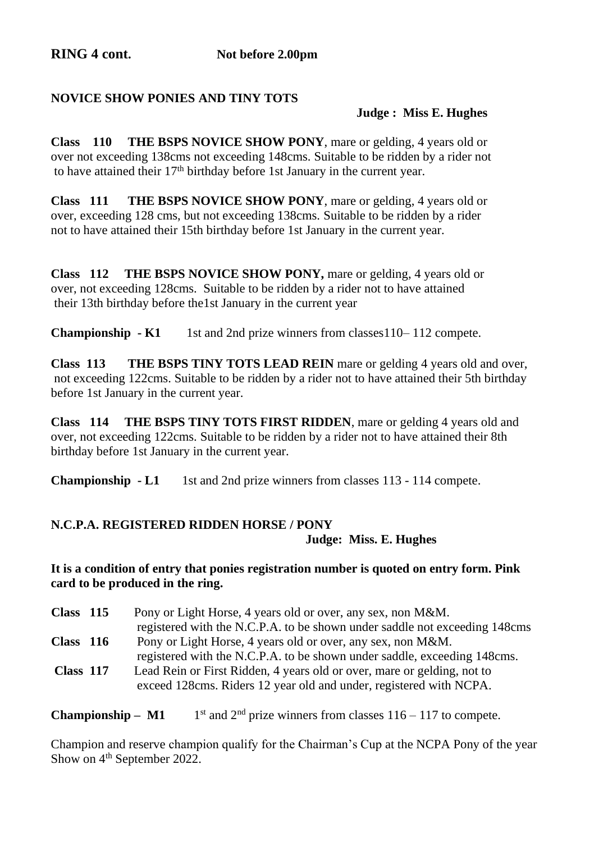# **NOVICE SHOW PONIES AND TINY TOTS**

# **Judge : Miss E. Hughes**

**Class 110 THE BSPS NOVICE SHOW PONY**, mare or gelding, 4 years old or over not exceeding 138cms not exceeding 148cms. Suitable to be ridden by a rider not to have attained their 17<sup>th</sup> birthday before 1st January in the current year.

**Class 111 THE BSPS NOVICE SHOW PONY**, mare or gelding, 4 years old or over, exceeding 128 cms, but not exceeding 138cms. Suitable to be ridden by a rider not to have attained their 15th birthday before 1st January in the current year.

**Class 112 THE BSPS NOVICE SHOW PONY,** mare or gelding, 4 years old or over, not exceeding 128cms. Suitable to be ridden by a rider not to have attained their 13th birthday before the1st January in the current year

**Championship - K1** 1st and 2nd prize winners from classes 110–112 compete.

**Class 113 THE BSPS TINY TOTS LEAD REIN** mare or gelding 4 years old and over, not exceeding 122cms. Suitable to be ridden by a rider not to have attained their 5th birthday before 1st January in the current year.

**Class 114 THE BSPS TINY TOTS FIRST RIDDEN**, mare or gelding 4 years old and over, not exceeding 122cms. Suitable to be ridden by a rider not to have attained their 8th birthday before 1st January in the current year.

**Championship - L1** 1st and 2nd prize winners from classes 113 - 114 compete.

# **N.C.P.A. REGISTERED RIDDEN HORSE / PONY Judge: Miss. E. Hughes**

# **It is a condition of entry that ponies registration number is quoted on entry form. Pink card to be produced in the ring.**

| Class $115$ | Pony or Light Horse, 4 years old or over, any sex, non M&M.                |
|-------------|----------------------------------------------------------------------------|
|             | registered with the N.C.P.A. to be shown under saddle not exceeding 148cms |
| Class $116$ | Pony or Light Horse, 4 years old or over, any sex, non M&M.                |
|             | registered with the N.C.P.A. to be shown under saddle, exceeding 148cms.   |
| Class 117   | Lead Rein or First Ridden, 4 years old or over, mare or gelding, not to    |
|             | exceed 128cms. Riders 12 year old and under, registered with NCPA.         |

**Championship – M1** 1  $1<sup>st</sup>$  and  $2<sup>nd</sup>$  prize winners from classes  $116 - 117$  to compete.

Champion and reserve champion qualify for the Chairman's Cup at the NCPA Pony of the year Show on 4<sup>th</sup> September 2022.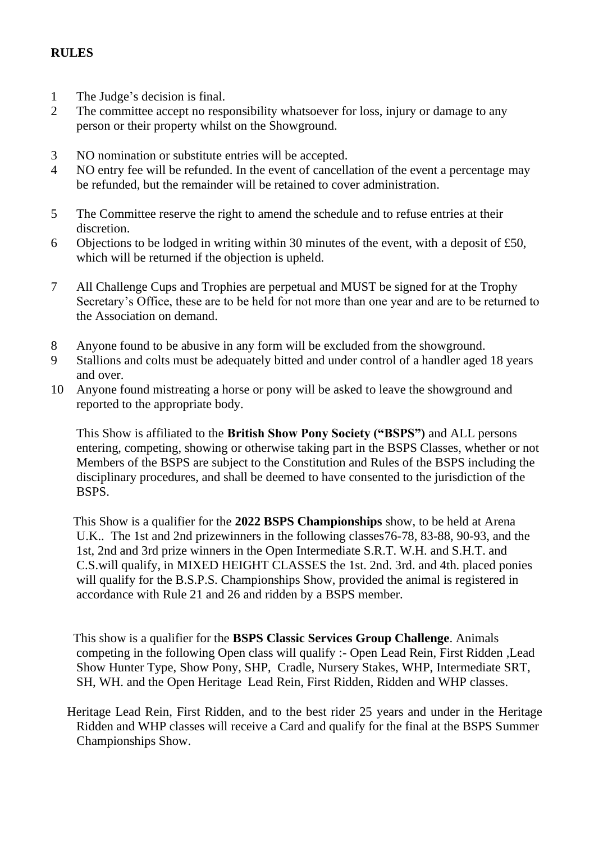# **RULES**

- 1 The Judge's decision is final.<br>2 The committee accent no resp
- The committee accept no responsibility whatsoever for loss, injury or damage to any person or their property whilst on the Showground.
- 3 NO nomination or substitute entries will be accepted.
- 4 NO entry fee will be refunded. In the event of cancellation of the event a percentage may be refunded, but the remainder will be retained to cover administration.
- 5 The Committee reserve the right to amend the schedule and to refuse entries at their discretion.
- 6 Objections to be lodged in writing within 30 minutes of the event, with a deposit of £50, which will be returned if the objection is upheld.
- 7 All Challenge Cups and Trophies are perpetual and MUST be signed for at the Trophy Secretary's Office, these are to be held for not more than one year and are to be returned to the Association on demand.
- 8 Anyone found to be abusive in any form will be excluded from the showground.
- 9 Stallions and colts must be adequately bitted and under control of a handler aged 18 years and over.
- 10 Anyone found mistreating a horse or pony will be asked to leave the showground and reported to the appropriate body.

This Show is affiliated to the **British Show Pony Society ("BSPS")** and ALL persons entering, competing, showing or otherwise taking part in the BSPS Classes, whether or not Members of the BSPS are subject to the Constitution and Rules of the BSPS including the disciplinary procedures, and shall be deemed to have consented to the jurisdiction of the **BSPS**.

 This Show is a qualifier for the **2022 BSPS Championships** show, to be held at Arena U.K.. The 1st and 2nd prizewinners in the following classes76-78, 83-88, 90-93, and the 1st, 2nd and 3rd prize winners in the Open Intermediate S.R.T. W.H. and S.H.T. and C.S.will qualify, in MIXED HEIGHT CLASSES the 1st. 2nd. 3rd. and 4th. placed ponies will qualify for the B.S.P.S. Championships Show, provided the animal is registered in accordance with Rule 21 and 26 and ridden by a BSPS member.

 This show is a qualifier for the **BSPS Classic Services Group Challenge**. Animals competing in the following Open class will qualify :- Open Lead Rein, First Ridden ,Lead Show Hunter Type, Show Pony, SHP, Cradle, Nursery Stakes, WHP, Intermediate SRT, SH, WH. and the Open Heritage Lead Rein, First Ridden, Ridden and WHP classes.

 Heritage Lead Rein, First Ridden, and to the best rider 25 years and under in the Heritage Ridden and WHP classes will receive a Card and qualify for the final at the BSPS Summer Championships Show.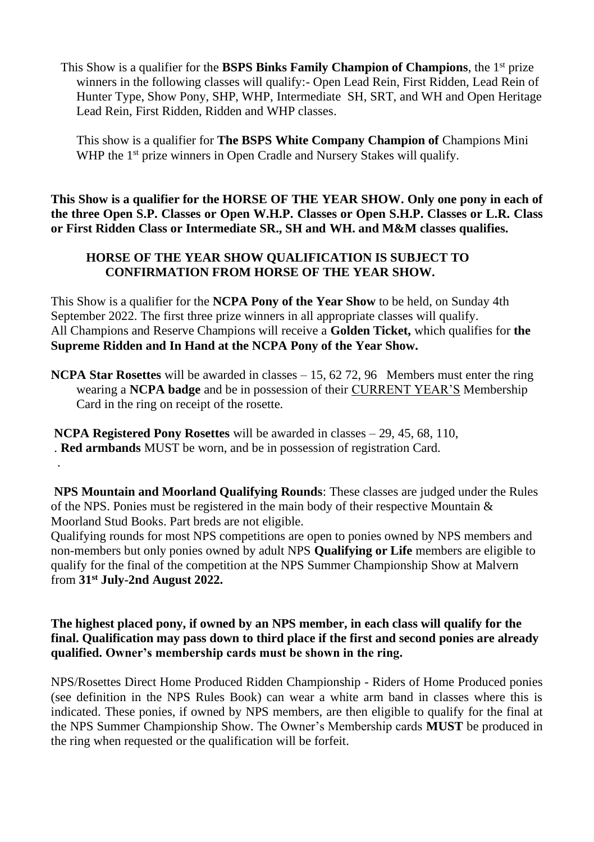This Show is a qualifier for the **BSPS Binks Family Champion of Champions**, the 1 st prize winners in the following classes will qualify:- Open Lead Rein, First Ridden, Lead Rein of Hunter Type, Show Pony, SHP, WHP, Intermediate SH, SRT, and WH and Open Heritage Lead Rein, First Ridden, Ridden and WHP classes.

 This show is a qualifier for **The BSPS White Company Champion of** Champions Mini WHP the 1<sup>st</sup> prize winners in Open Cradle and Nursery Stakes will qualify.

**This Show is a qualifier for the HORSE OF THE YEAR SHOW. Only one pony in each of the three Open S.P. Classes or Open W.H.P. Classes or Open S.H.P. Classes or L.R. Class or First Ridden Class or Intermediate SR., SH and WH. and M&M classes qualifies.**

# **HORSE OF THE YEAR SHOW QUALIFICATION IS SUBJECT TO CONFIRMATION FROM HORSE OF THE YEAR SHOW.**

This Show is a qualifier for the **NCPA Pony of the Year Show** to be held, on Sunday 4th September 2022. The first three prize winners in all appropriate classes will qualify. All Champions and Reserve Champions will receive a **Golden Ticket,** which qualifies for **the Supreme Ridden and In Hand at the NCPA Pony of the Year Show.** 

**NCPA Star Rosettes** will be awarded in classes – 15, 62 72, 96 Members must enter the ring wearing a **NCPA badge** and be in possession of their CURRENT YEAR'S Membership Card in the ring on receipt of the rosette.

**NCPA Registered Pony Rosettes** will be awarded in classes – 29, 45, 68, 110, . **Red armbands** MUST be worn, and be in possession of registration Card. .

**NPS Mountain and Moorland Qualifying Rounds**: These classes are judged under the Rules of the NPS. Ponies must be registered in the main body of their respective Mountain & Moorland Stud Books. Part breds are not eligible.

Qualifying rounds for most NPS competitions are open to ponies owned by NPS members and non-members but only ponies owned by adult NPS **Qualifying or Life** members are eligible to qualify for the final of the competition at the NPS Summer Championship Show at Malvern from **31st July-2nd August 2022.** 

# **The highest placed pony, if owned by an NPS member, in each class will qualify for the final. Qualification may pass down to third place if the first and second ponies are already qualified. Owner's membership cards must be shown in the ring.**

NPS/Rosettes Direct Home Produced Ridden Championship - Riders of Home Produced ponies (see definition in the NPS Rules Book) can wear a white arm band in classes where this is indicated. These ponies, if owned by NPS members, are then eligible to qualify for the final at the NPS Summer Championship Show. The Owner's Membership cards **MUST** be produced in the ring when requested or the qualification will be forfeit.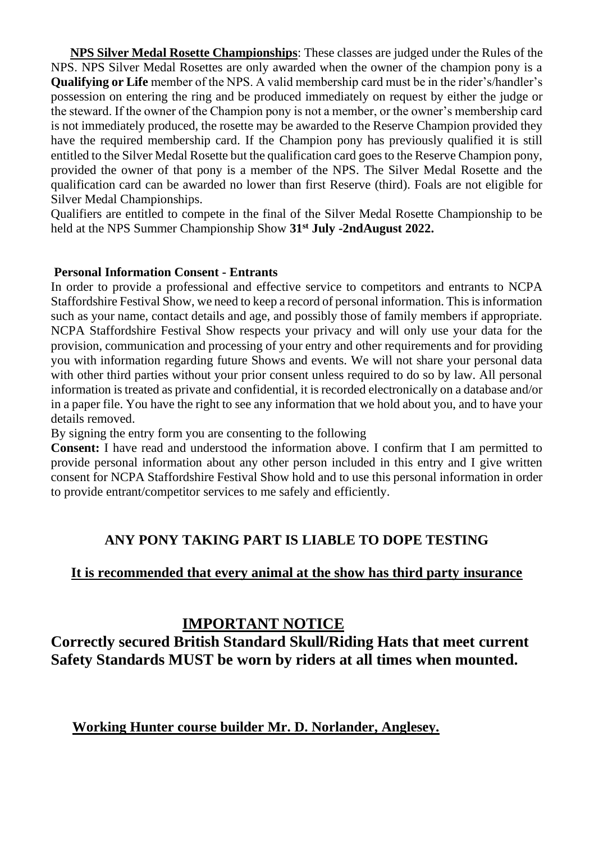**NPS Silver Medal Rosette Championships**: These classes are judged under the Rules of the NPS. NPS Silver Medal Rosettes are only awarded when the owner of the champion pony is a **Qualifying or Life** member of the NPS. A valid membership card must be in the rider's/handler's possession on entering the ring and be produced immediately on request by either the judge or the steward. If the owner of the Champion pony is not a member, or the owner's membership card is not immediately produced, the rosette may be awarded to the Reserve Champion provided they have the required membership card. If the Champion pony has previously qualified it is still entitled to the Silver Medal Rosette but the qualification card goes to the Reserve Champion pony, provided the owner of that pony is a member of the NPS. The Silver Medal Rosette and the qualification card can be awarded no lower than first Reserve (third). Foals are not eligible for Silver Medal Championships.

Qualifiers are entitled to compete in the final of the Silver Medal Rosette Championship to be held at the NPS Summer Championship Show **31st July -2ndAugust 2022.**

#### **Personal Information Consent - Entrants**

In order to provide a professional and effective service to competitors and entrants to NCPA Staffordshire Festival Show, we need to keep a record of personal information. This is information such as your name, contact details and age, and possibly those of family members if appropriate. NCPA Staffordshire Festival Show respects your privacy and will only use your data for the provision, communication and processing of your entry and other requirements and for providing you with information regarding future Shows and events. We will not share your personal data with other third parties without your prior consent unless required to do so by law. All personal information is treated as private and confidential, it is recorded electronically on a database and/or in a paper file. You have the right to see any information that we hold about you, and to have your details removed.

By signing the entry form you are consenting to the following

**Consent:** I have read and understood the information above. I confirm that I am permitted to provide personal information about any other person included in this entry and I give written consent for NCPA Staffordshire Festival Show hold and to use this personal information in order to provide entrant/competitor services to me safely and efficiently.

# **ANY PONY TAKING PART IS LIABLE TO DOPE TESTING**

# **It is recommended that every animal at the show has third party insurance**

# **IMPORTANT NOTICE**

**Correctly secured British Standard Skull/Riding Hats that meet current Safety Standards MUST be worn by riders at all times when mounted.**

 **Working Hunter course builder Mr. D. Norlander, Anglesey.**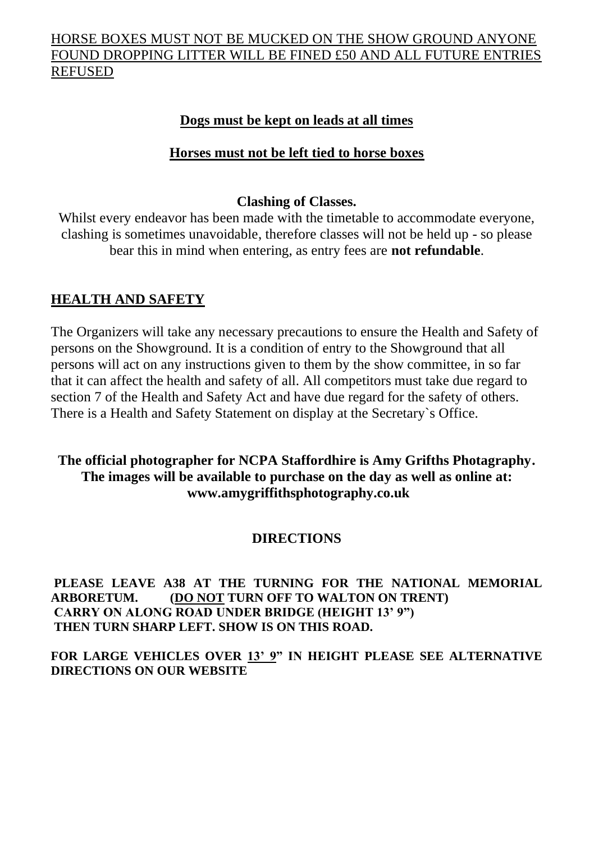# HORSE BOXES MUST NOT BE MUCKED ON THE SHOW GROUND ANYONE FOUND DROPPING LITTER WILL BE FINED £50 AND ALL FUTURE ENTRIES REFUSED

# **Dogs must be kept on leads at all times**

# **Horses must not be left tied to horse boxes**

# **Clashing of Classes.**

Whilst every endeavor has been made with the timetable to accommodate everyone, clashing is sometimes unavoidable, therefore classes will not be held up - so please bear this in mind when entering, as entry fees are **not refundable**.

# **HEALTH AND SAFETY**

The Organizers will take any necessary precautions to ensure the Health and Safety of persons on the Showground. It is a condition of entry to the Showground that all persons will act on any instructions given to them by the show committee, in so far that it can affect the health and safety of all. All competitors must take due regard to section 7 of the Health and Safety Act and have due regard for the safety of others. There is a Health and Safety Statement on display at the Secretary`s Office.

# **The official photographer for NCPA Staffordhire is Amy Grifths Photagraphy. The images will be available to purchase on the day as well as online at: www.amygriffithsphotography.co.uk**

# **DIRECTIONS**

**PLEASE LEAVE A38 AT THE TURNING FOR THE NATIONAL MEMORIAL ARBORETUM. (DO NOT TURN OFF TO WALTON ON TRENT) CARRY ON ALONG ROAD UNDER BRIDGE (HEIGHT 13' 9") THEN TURN SHARP LEFT. SHOW IS ON THIS ROAD.**

**FOR LARGE VEHICLES OVER 13' 9" IN HEIGHT PLEASE SEE ALTERNATIVE DIRECTIONS ON OUR WEBSITE**